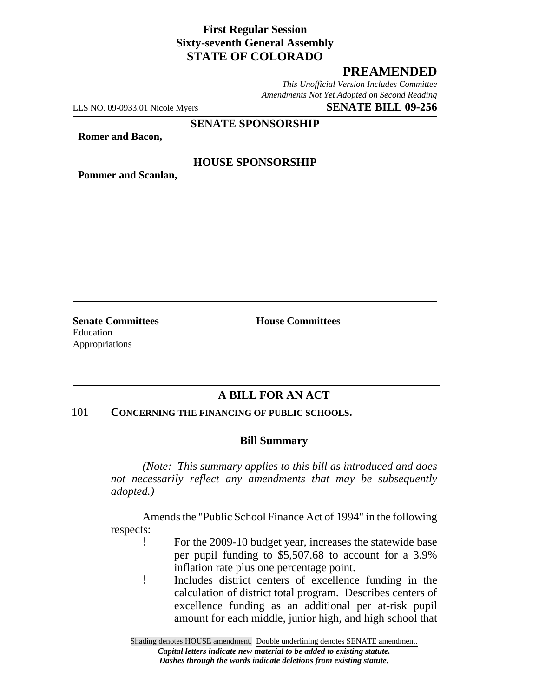## **First Regular Session Sixty-seventh General Assembly STATE OF COLORADO**

## **PREAMENDED**

*This Unofficial Version Includes Committee Amendments Not Yet Adopted on Second Reading*

LLS NO. 09-0933.01 Nicole Myers **SENATE BILL 09-256**

**SENATE SPONSORSHIP**

**Romer and Bacon,**

#### **HOUSE SPONSORSHIP**

**Pommer and Scanlan,**

**Senate Committees House Committees** Education Appropriations

## **A BILL FOR AN ACT**

#### 101 **CONCERNING THE FINANCING OF PUBLIC SCHOOLS.**

#### **Bill Summary**

*(Note: This summary applies to this bill as introduced and does not necessarily reflect any amendments that may be subsequently adopted.)*

Amends the "Public School Finance Act of 1994" in the following respects:

- ! For the 2009-10 budget year, increases the statewide base per pupil funding to \$5,507.68 to account for a 3.9% inflation rate plus one percentage point.
- ! Includes district centers of excellence funding in the calculation of district total program. Describes centers of excellence funding as an additional per at-risk pupil amount for each middle, junior high, and high school that

Shading denotes HOUSE amendment. Double underlining denotes SENATE amendment. *Capital letters indicate new material to be added to existing statute. Dashes through the words indicate deletions from existing statute.*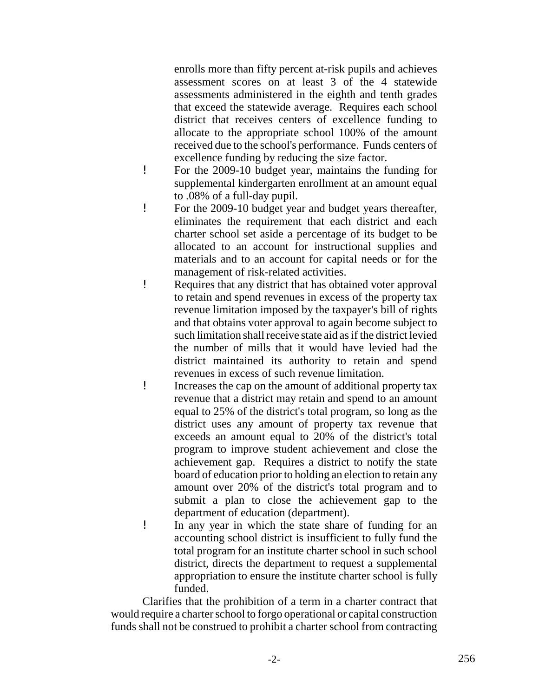enrolls more than fifty percent at-risk pupils and achieves assessment scores on at least 3 of the 4 statewide assessments administered in the eighth and tenth grades that exceed the statewide average. Requires each school district that receives centers of excellence funding to allocate to the appropriate school 100% of the amount received due to the school's performance. Funds centers of excellence funding by reducing the size factor.

- ! For the 2009-10 budget year, maintains the funding for supplemental kindergarten enrollment at an amount equal to .08% of a full-day pupil.
- ! For the 2009-10 budget year and budget years thereafter, eliminates the requirement that each district and each charter school set aside a percentage of its budget to be allocated to an account for instructional supplies and materials and to an account for capital needs or for the management of risk-related activities.
- ! Requires that any district that has obtained voter approval to retain and spend revenues in excess of the property tax revenue limitation imposed by the taxpayer's bill of rights and that obtains voter approval to again become subject to such limitation shall receive state aid as if the district levied the number of mills that it would have levied had the district maintained its authority to retain and spend revenues in excess of such revenue limitation.
- ! Increases the cap on the amount of additional property tax revenue that a district may retain and spend to an amount equal to 25% of the district's total program, so long as the district uses any amount of property tax revenue that exceeds an amount equal to 20% of the district's total program to improve student achievement and close the achievement gap. Requires a district to notify the state board of education prior to holding an election to retain any amount over 20% of the district's total program and to submit a plan to close the achievement gap to the department of education (department).
- ! In any year in which the state share of funding for an accounting school district is insufficient to fully fund the total program for an institute charter school in such school district, directs the department to request a supplemental appropriation to ensure the institute charter school is fully funded.

Clarifies that the prohibition of a term in a charter contract that would require a charter school to forgo operational or capital construction funds shall not be construed to prohibit a charter school from contracting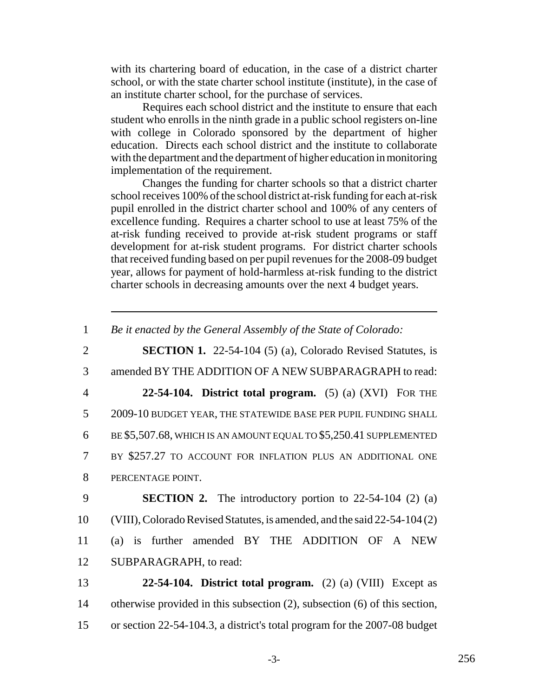with its chartering board of education, in the case of a district charter school, or with the state charter school institute (institute), in the case of an institute charter school, for the purchase of services.

Requires each school district and the institute to ensure that each student who enrolls in the ninth grade in a public school registers on-line with college in Colorado sponsored by the department of higher education. Directs each school district and the institute to collaborate with the department and the department of higher education in monitoring implementation of the requirement.

Changes the funding for charter schools so that a district charter school receives 100% of the school district at-risk funding for each at-risk pupil enrolled in the district charter school and 100% of any centers of excellence funding. Requires a charter school to use at least 75% of the at-risk funding received to provide at-risk student programs or staff development for at-risk student programs. For district charter schools that received funding based on per pupil revenues for the 2008-09 budget year, allows for payment of hold-harmless at-risk funding to the district charter schools in decreasing amounts over the next 4 budget years.

1 *Be it enacted by the General Assembly of the State of Colorado:*

 **SECTION 1.** 22-54-104 (5) (a), Colorado Revised Statutes, is amended BY THE ADDITION OF A NEW SUBPARAGRAPH to read: **22-54-104. District total program.** (5) (a) (XVI) FOR THE 2009-10 BUDGET YEAR, THE STATEWIDE BASE PER PUPIL FUNDING SHALL BE \$5,507.68, WHICH IS AN AMOUNT EQUAL TO \$5,250.41 SUPPLEMENTED BY \$257.27 TO ACCOUNT FOR INFLATION PLUS AN ADDITIONAL ONE PERCENTAGE POINT. **SECTION 2.** The introductory portion to 22-54-104 (2) (a) (VIII), Colorado Revised Statutes, is amended, and the said 22-54-104 (2) (a) is further amended BY THE ADDITION OF A NEW SUBPARAGRAPH, to read:

13 **22-54-104. District total program.** (2) (a) (VIII) Except as 14 otherwise provided in this subsection (2), subsection (6) of this section, 15 or section 22-54-104.3, a district's total program for the 2007-08 budget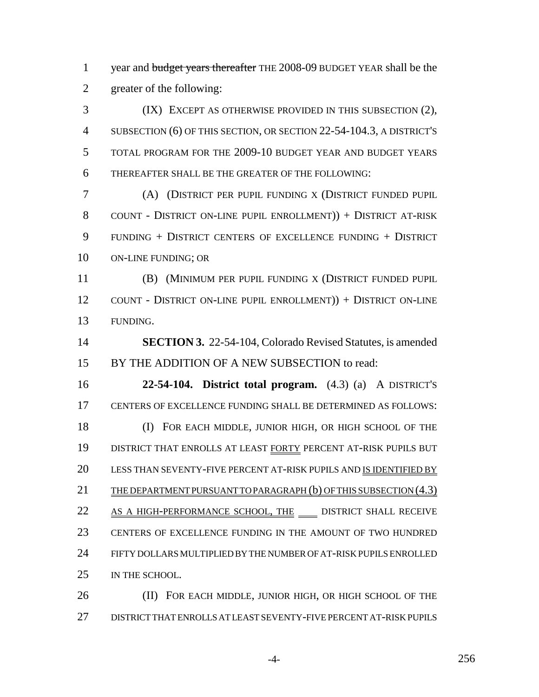1 year and budget years thereafter THE 2008-09 BUDGET YEAR shall be the greater of the following:

 (IX) EXCEPT AS OTHERWISE PROVIDED IN THIS SUBSECTION (2), SUBSECTION (6) OF THIS SECTION, OR SECTION 22-54-104.3, A DISTRICT'S TOTAL PROGRAM FOR THE 2009-10 BUDGET YEAR AND BUDGET YEARS THEREAFTER SHALL BE THE GREATER OF THE FOLLOWING:

 (A) (DISTRICT PER PUPIL FUNDING X (DISTRICT FUNDED PUPIL COUNT - DISTRICT ON-LINE PUPIL ENROLLMENT)) + DISTRICT AT-RISK FUNDING + DISTRICT CENTERS OF EXCELLENCE FUNDING + DISTRICT ON-LINE FUNDING; OR

 (B) (MINIMUM PER PUPIL FUNDING X (DISTRICT FUNDED PUPIL COUNT - DISTRICT ON-LINE PUPIL ENROLLMENT)) + DISTRICT ON-LINE FUNDING.

 **SECTION 3.** 22-54-104, Colorado Revised Statutes, is amended BY THE ADDITION OF A NEW SUBSECTION to read:

 **22-54-104. District total program.** (4.3) (a) A DISTRICT'S CENTERS OF EXCELLENCE FUNDING SHALL BE DETERMINED AS FOLLOWS: (I) FOR EACH MIDDLE, JUNIOR HIGH, OR HIGH SCHOOL OF THE DISTRICT THAT ENROLLS AT LEAST FORTY PERCENT AT-RISK PUPILS BUT 20 LESS THAN SEVENTY-FIVE PERCENT AT-RISK PUPILS AND IS IDENTIFIED BY 21 THE DEPARTMENT PURSUANT TO PARAGRAPH (b) OF THIS SUBSECTION (4.3) 22 AS A HIGH-PERFORMANCE SCHOOL, THE DISTRICT SHALL RECEIVE CENTERS OF EXCELLENCE FUNDING IN THE AMOUNT OF TWO HUNDRED FIFTY DOLLARS MULTIPLIED BY THE NUMBER OF AT-RISK PUPILS ENROLLED IN THE SCHOOL.

 (II) FOR EACH MIDDLE, JUNIOR HIGH, OR HIGH SCHOOL OF THE DISTRICT THAT ENROLLS AT LEAST SEVENTY-FIVE PERCENT AT-RISK PUPILS

-4- 256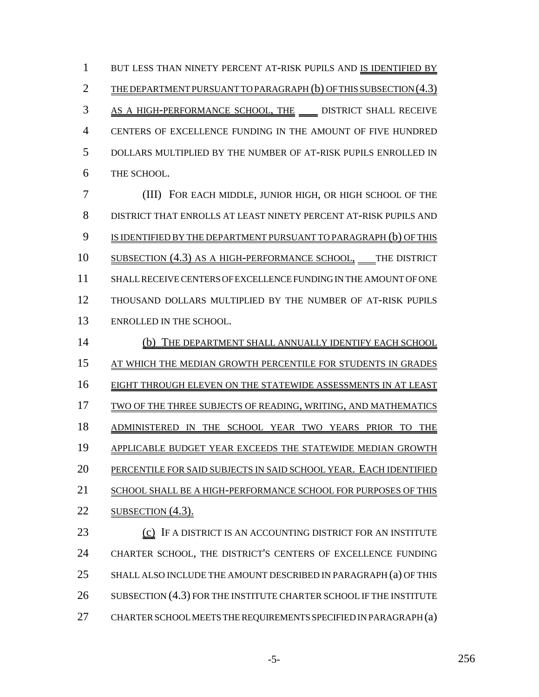1 BUT LESS THAN NINETY PERCENT AT-RISK PUPILS AND IS IDENTIFIED BY 2 THE DEPARTMENT PURSUANT TO PARAGRAPH (b) OF THIS SUBSECTION (4.3) 3 AS A HIGH-PERFORMANCE SCHOOL, THE DISTRICT SHALL RECEIVE 4 CENTERS OF EXCELLENCE FUNDING IN THE AMOUNT OF FIVE HUNDRED 5 DOLLARS MULTIPLIED BY THE NUMBER OF AT-RISK PUPILS ENROLLED IN 6 THE SCHOOL.

 (III) FOR EACH MIDDLE, JUNIOR HIGH, OR HIGH SCHOOL OF THE DISTRICT THAT ENROLLS AT LEAST NINETY PERCENT AT-RISK PUPILS AND 9 IS IDENTIFIED BY THE DEPARTMENT PURSUANT TO PARAGRAPH (b) OF THIS 10 SUBSECTION (4.3) AS A HIGH-PERFORMANCE SCHOOL, THE DISTRICT SHALL RECEIVE CENTERS OF EXCELLENCE FUNDING IN THE AMOUNT OF ONE THOUSAND DOLLARS MULTIPLIED BY THE NUMBER OF AT-RISK PUPILS ENROLLED IN THE SCHOOL.

14 (b) THE DEPARTMENT SHALL ANNUALLY IDENTIFY EACH SCHOOL 15 AT WHICH THE MEDIAN GROWTH PERCENTILE FOR STUDENTS IN GRADES 16 EIGHT THROUGH ELEVEN ON THE STATEWIDE ASSESSMENTS IN AT LEAST 17 TWO OF THE THREE SUBJECTS OF READING, WRITING, AND MATHEMATICS 18 ADMINISTERED IN THE SCHOOL YEAR TWO YEARS PRIOR TO THE 19 APPLICABLE BUDGET YEAR EXCEEDS THE STATEWIDE MEDIAN GROWTH 20 PERCENTILE FOR SAID SUBJECTS IN SAID SCHOOL YEAR. EACH IDENTIFIED 21 SCHOOL SHALL BE A HIGH-PERFORMANCE SCHOOL FOR PURPOSES OF THIS 22 SUBSECTION  $(4.3)$ . 23 (c) IF A DISTRICT IS AN ACCOUNTING DISTRICT FOR AN INSTITUTE 24 CHARTER SCHOOL, THE DISTRICT'S CENTERS OF EXCELLENCE FUNDING 25 SHALL ALSO INCLUDE THE AMOUNT DESCRIBED IN PARAGRAPH (a) OF THIS

- 26 SUBSECTION (4.3) FOR THE INSTITUTE CHARTER SCHOOL IF THE INSTITUTE
- 27 CHARTER SCHOOL MEETS THE REQUIREMENTS SPECIFIED IN PARAGRAPH (a)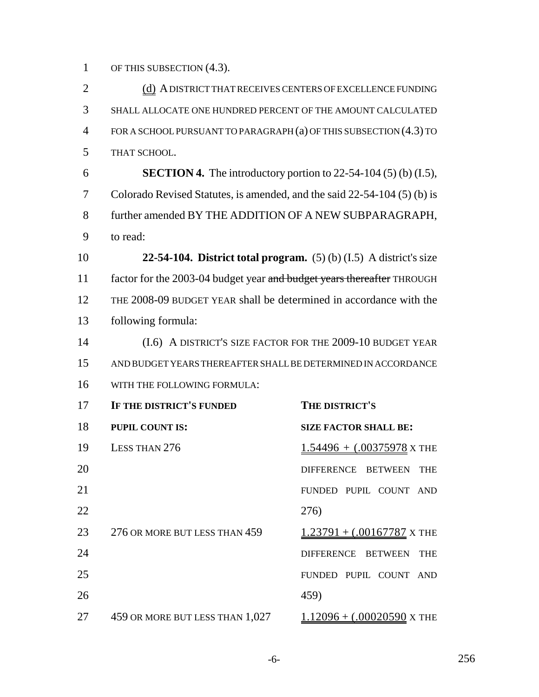1 OF THIS SUBSECTION  $(4.3)$ .

2 (d) A DISTRICT THAT RECEIVES CENTERS OF EXCELLENCE FUNDING SHALL ALLOCATE ONE HUNDRED PERCENT OF THE AMOUNT CALCULATED FOR A SCHOOL PURSUANT TO PARAGRAPH (a) OF THIS SUBSECTION (4.3) TO THAT SCHOOL. **SECTION 4.** The introductory portion to 22-54-104 (5) (b) (I.5), Colorado Revised Statutes, is amended, and the said 22-54-104 (5) (b) is further amended BY THE ADDITION OF A NEW SUBPARAGRAPH, to read: **22-54-104. District total program.** (5) (b) (I.5) A district's size 11 factor for the 2003-04 budget year and budget years thereafter THROUGH THE 2008-09 BUDGET YEAR shall be determined in accordance with the following formula: (I.6) A DISTRICT'S SIZE FACTOR FOR THE 2009-10 BUDGET YEAR AND BUDGET YEARS THEREAFTER SHALL BE DETERMINED IN ACCORDANCE WITH THE FOLLOWING FORMULA: **IF THE DISTRICT'S FUNDED THE DISTRICT'S PUPIL COUNT IS: SIZE FACTOR SHALL BE:** 19 LESS THAN 276 1.54496 + (.00375978 X THE 20 DIFFERENCE BETWEEN THE FUNDED PUPIL COUNT AND 276) 23 276 OR MORE BUT LESS THAN 1.23791 + (.00167787 X THE 24 DIFFERENCE BETWEEN THE

 FUNDED PUPIL COUNT AND 459) 27 459 OR MORE BUT LESS THAN  $1,027$  1.12096 +  $(.00020590 \text{ X}$  THE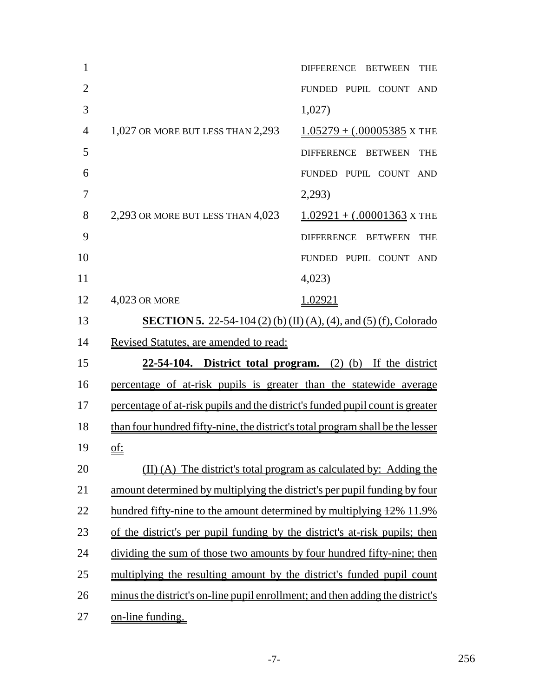| $\mathbf{1}$   |                                                                                | DIFFERENCE BETWEEN<br><b>THE</b> |
|----------------|--------------------------------------------------------------------------------|----------------------------------|
| $\overline{2}$ |                                                                                | FUNDED PUPIL COUNT AND           |
| 3              |                                                                                | 1,027)                           |
| $\overline{4}$ | 1,027 OR MORE BUT LESS THAN 2,293                                              | $1.05279 + (.00005385$ X THE     |
| 5              |                                                                                | DIFFERENCE BETWEEN<br><b>THE</b> |
| 6              |                                                                                | FUNDED PUPIL COUNT AND           |
| 7              |                                                                                | 2,293)                           |
| 8              | 2,293 OR MORE BUT LESS THAN 4,023                                              | $1.02921 + (.00001363$ X THE     |
| 9              |                                                                                | DIFFERENCE BETWEEN<br><b>THE</b> |
| 10             |                                                                                | FUNDED PUPIL COUNT AND           |
| 11             |                                                                                | 4,023                            |
| 12             | 4,023 OR MORE                                                                  | 1.02921                          |
| 13             | <b>SECTION 5.</b> 22-54-104 (2) (b) (II) (A), (4), and (5) (f), Colorado       |                                  |
| 14             | Revised Statutes, are amended to read:                                         |                                  |
| 15             | $22-54-104$ . District total program. (2) (b) If the district                  |                                  |
| 16             | percentage of at-risk pupils is greater than the statewide average             |                                  |
| 17             | percentage of at-risk pupils and the district's funded pupil count is greater  |                                  |
| 18             | than four hundred fifty-nine, the district's total program shall be the lesser |                                  |
| 19             | <u>of:</u>                                                                     |                                  |
| 20             | (II) (A) The district's total program as calculated by: Adding the             |                                  |
| 21             | amount determined by multiplying the district's per pupil funding by four      |                                  |
| 22             | hundred fifty-nine to the amount determined by multiplying $12\%$ 11.9%        |                                  |
| 23             | of the district's per pupil funding by the district's at-risk pupils; then     |                                  |
| 24             | dividing the sum of those two amounts by four hundred fifty-nine; then         |                                  |
| 25             | multiplying the resulting amount by the district's funded pupil count          |                                  |
| 26             | minus the district's on-line pupil enrollment; and then adding the district's  |                                  |
| 27             | on-line funding.                                                               |                                  |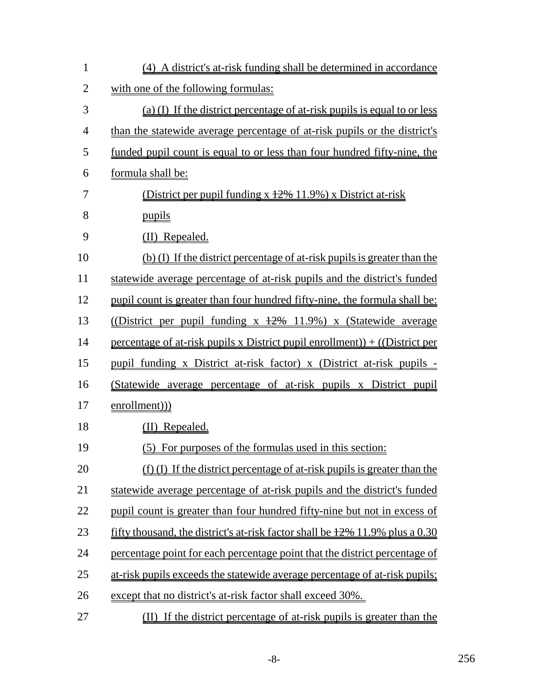| $\mathbf{1}$   | (4) A district's at-risk funding shall be determined in accordance              |
|----------------|---------------------------------------------------------------------------------|
| $\overline{2}$ | with one of the following formulas:                                             |
| 3              | (a) (I) If the district percentage of at-risk pupils is equal to or less        |
| $\overline{4}$ | than the statewide average percentage of at-risk pupils or the district's       |
| 5              | funded pupil count is equal to or less than four hundred fifty-nine, the        |
| 6              | formula shall be:                                                               |
| 7              | (District per pupil funding x +2% 11.9%) x District at-risk                     |
| 8              | pupils                                                                          |
| 9              | (II) Repealed.                                                                  |
| 10             | (b) (I) If the district percentage of at-risk pupils is greater than the        |
| 11             | statewide average percentage of at-risk pupils and the district's funded        |
| 12             | pupil count is greater than four hundred fifty-nine, the formula shall be:      |
| 13             | (District per pupil funding x $\frac{12\%}{11.9\%}$ ) x (Statewide average      |
| 14             | percentage of at-risk pupils x District pupil enrollment)) + $($ District per   |
| 15             | pupil funding x District at-risk factor) x (District at-risk pupils -           |
| 16             | (Statewide average percentage of at-risk pupils x District pupil                |
| 17             | enrollment))                                                                    |
| 18             | (II) Repealed.                                                                  |
| 19             | (5) For purposes of the formulas used in this section:                          |
| 20             | (f) (I) If the district percentage of at-risk pupils is greater than the        |
| 21             | statewide average percentage of at-risk pupils and the district's funded        |
| 22             | pupil count is greater than four hundred fifty-nine but not in excess of        |
| 23             | fifty thousand, the district's at-risk factor shall be $12\%$ 11.9% plus a 0.30 |
| 24             | percentage point for each percentage point that the district percentage of      |
| 25             | at-risk pupils exceeds the statewide average percentage of at-risk pupils;      |
| 26             | except that no district's at-risk factor shall exceed 30%.                      |
| 27             | (II) If the district percentage of at-risk pupils is greater than the           |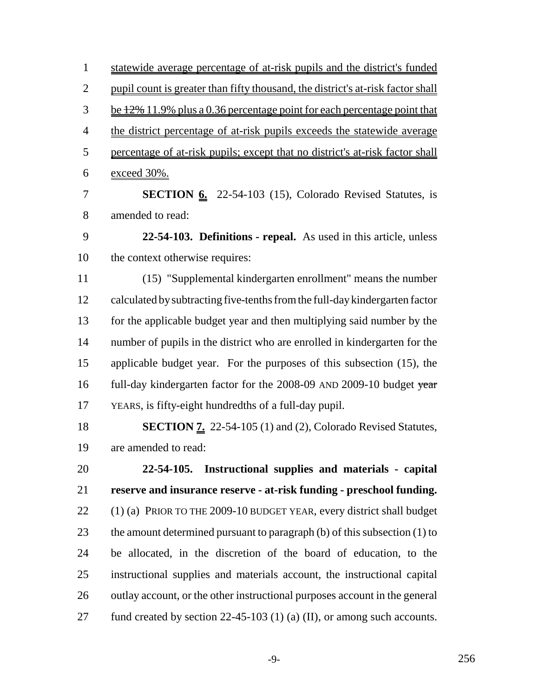statewide average percentage of at-risk pupils and the district's funded pupil count is greater than fifty thousand, the district's at-risk factor shall  $\frac{3}{2}$  be  $\frac{12\%}{11.9\%}$  plus a 0.36 percentage point for each percentage point that 4 the district percentage of at-risk pupils exceeds the statewide average percentage of at-risk pupils; except that no district's at-risk factor shall exceed 30%.

**SECTION 6.** 22-54-103 (15), Colorado Revised Statutes, is amended to read:

 **22-54-103. Definitions - repeal.** As used in this article, unless the context otherwise requires:

 (15) "Supplemental kindergarten enrollment" means the number calculated by subtracting five-tenths from the full-day kindergarten factor for the applicable budget year and then multiplying said number by the number of pupils in the district who are enrolled in kindergarten for the applicable budget year. For the purposes of this subsection (15), the 16 full-day kindergarten factor for the 2008-09 AND 2009-10 budget year YEARS, is fifty-eight hundredths of a full-day pupil.

 **SECTION 7.** 22-54-105 (1) and (2), Colorado Revised Statutes, are amended to read:

 **22-54-105. Instructional supplies and materials - capital reserve and insurance reserve - at-risk funding - preschool funding.** (1) (a) PRIOR TO THE 2009-10 BUDGET YEAR, every district shall budget the amount determined pursuant to paragraph (b) of this subsection (1) to be allocated, in the discretion of the board of education, to the instructional supplies and materials account, the instructional capital 26 outlay account, or the other instructional purposes account in the general 27 fund created by section 22-45-103 (1) (a) (II), or among such accounts.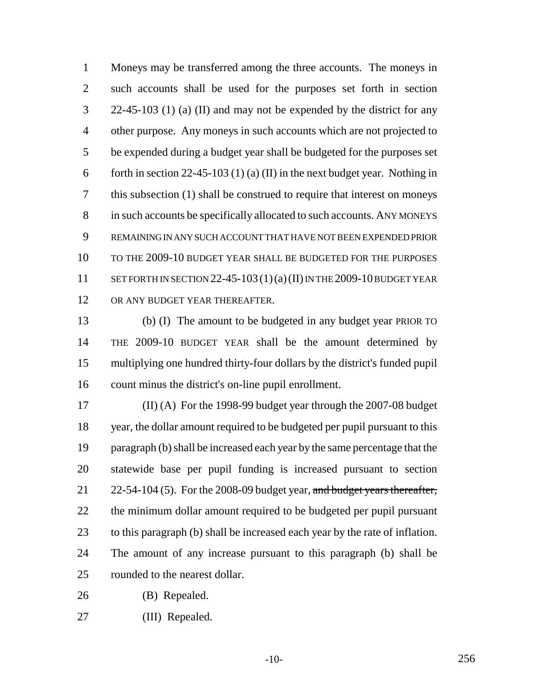Moneys may be transferred among the three accounts. The moneys in such accounts shall be used for the purposes set forth in section 22-45-103 (1) (a) (II) and may not be expended by the district for any other purpose. Any moneys in such accounts which are not projected to be expended during a budget year shall be budgeted for the purposes set 6 forth in section 22-45-103 (1) (a) (II) in the next budget year. Nothing in this subsection (1) shall be construed to require that interest on moneys in such accounts be specifically allocated to such accounts. ANY MONEYS REMAINING IN ANY SUCH ACCOUNT THAT HAVE NOT BEEN EXPENDED PRIOR TO THE 2009-10 BUDGET YEAR SHALL BE BUDGETED FOR THE PURPOSES 11 SET FORTH IN SECTION  $22-45-103(1)(a)(II)$  IN THE 2009-10 BUDGET YEAR 12 OR ANY BUDGET YEAR THEREAFTER.

 (b) (I) The amount to be budgeted in any budget year PRIOR TO THE 2009-10 BUDGET YEAR shall be the amount determined by multiplying one hundred thirty-four dollars by the district's funded pupil count minus the district's on-line pupil enrollment.

 (II) (A) For the 1998-99 budget year through the 2007-08 budget year, the dollar amount required to be budgeted per pupil pursuant to this paragraph (b) shall be increased each year by the same percentage that the statewide base per pupil funding is increased pursuant to section 21 22-54-104 (5). For the 2008-09 budget year, and budget years thereafter, the minimum dollar amount required to be budgeted per pupil pursuant to this paragraph (b) shall be increased each year by the rate of inflation. The amount of any increase pursuant to this paragraph (b) shall be rounded to the nearest dollar.

(B) Repealed.

(III) Repealed.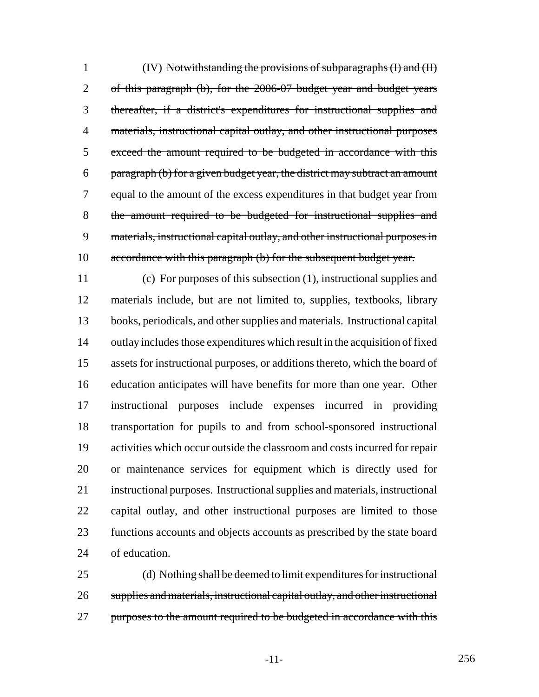(IV) Notwithstanding the provisions of subparagraphs (I) and (II) of this paragraph (b), for the 2006-07 budget year and budget years thereafter, if a district's expenditures for instructional supplies and 4 materials, instructional capital outlay, and other instructional purposes exceed the amount required to be budgeted in accordance with this paragraph (b) for a given budget year, the district may subtract an amount equal to the amount of the excess expenditures in that budget year from the amount required to be budgeted for instructional supplies and materials, instructional capital outlay, and other instructional purposes in 10 accordance with this paragraph (b) for the subsequent budget year.

 (c) For purposes of this subsection (1), instructional supplies and materials include, but are not limited to, supplies, textbooks, library books, periodicals, and other supplies and materials. Instructional capital outlay includes those expenditures which result in the acquisition of fixed assets for instructional purposes, or additions thereto, which the board of education anticipates will have benefits for more than one year. Other instructional purposes include expenses incurred in providing transportation for pupils to and from school-sponsored instructional activities which occur outside the classroom and costs incurred for repair or maintenance services for equipment which is directly used for instructional purposes. Instructional supplies and materials, instructional capital outlay, and other instructional purposes are limited to those functions accounts and objects accounts as prescribed by the state board of education.

 (d) Nothing shall be deemed to limit expenditures for instructional supplies and materials, instructional capital outlay, and other instructional 27 purposes to the amount required to be budgeted in accordance with this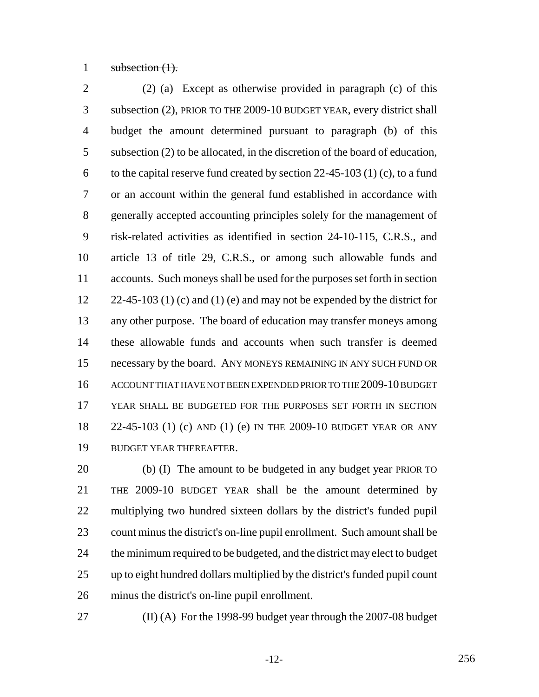1 subsection  $(1)$ .

 (2) (a) Except as otherwise provided in paragraph (c) of this subsection (2), PRIOR TO THE 2009-10 BUDGET YEAR, every district shall budget the amount determined pursuant to paragraph (b) of this subsection (2) to be allocated, in the discretion of the board of education, 6 to the capital reserve fund created by section  $22-45-103$  (1) (c), to a fund or an account within the general fund established in accordance with generally accepted accounting principles solely for the management of risk-related activities as identified in section 24-10-115, C.R.S., and article 13 of title 29, C.R.S., or among such allowable funds and accounts. Such moneys shall be used for the purposes set forth in section  $22-45-103$  (1) (c) and (1) (e) and may not be expended by the district for any other purpose. The board of education may transfer moneys among these allowable funds and accounts when such transfer is deemed necessary by the board. ANY MONEYS REMAINING IN ANY SUCH FUND OR ACCOUNT THAT HAVE NOT BEEN EXPENDED PRIOR TO THE 2009-10 BUDGET YEAR SHALL BE BUDGETED FOR THE PURPOSES SET FORTH IN SECTION 22-45-103 (1) (c) AND (1) (e) IN THE 2009-10 BUDGET YEAR OR ANY BUDGET YEAR THEREAFTER.

 (b) (I) The amount to be budgeted in any budget year PRIOR TO THE 2009-10 BUDGET YEAR shall be the amount determined by multiplying two hundred sixteen dollars by the district's funded pupil count minus the district's on-line pupil enrollment. Such amount shall be the minimum required to be budgeted, and the district may elect to budget up to eight hundred dollars multiplied by the district's funded pupil count minus the district's on-line pupil enrollment.

(II) (A) For the 1998-99 budget year through the 2007-08 budget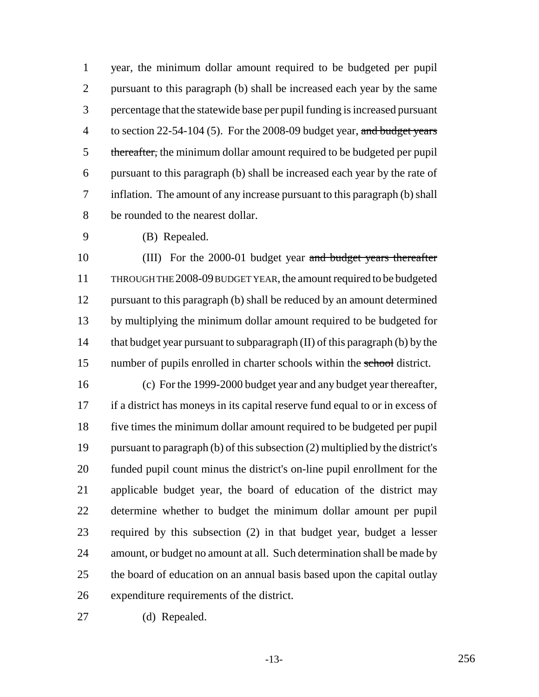year, the minimum dollar amount required to be budgeted per pupil pursuant to this paragraph (b) shall be increased each year by the same percentage that the statewide base per pupil funding is increased pursuant 4 to section  $22-54-104$  (5). For the 2008-09 budget year, and budget years 5 thereafter, the minimum dollar amount required to be budgeted per pupil pursuant to this paragraph (b) shall be increased each year by the rate of inflation. The amount of any increase pursuant to this paragraph (b) shall be rounded to the nearest dollar.

(B) Repealed.

10 (III) For the 2000-01 budget year and budget years thereafter THROUGH THE 2008-09 BUDGET YEAR, the amount required to be budgeted pursuant to this paragraph (b) shall be reduced by an amount determined by multiplying the minimum dollar amount required to be budgeted for that budget year pursuant to subparagraph (II) of this paragraph (b) by the 15 number of pupils enrolled in charter schools within the school district.

 (c) For the 1999-2000 budget year and any budget year thereafter, if a district has moneys in its capital reserve fund equal to or in excess of five times the minimum dollar amount required to be budgeted per pupil pursuant to paragraph (b) of this subsection (2) multiplied by the district's funded pupil count minus the district's on-line pupil enrollment for the applicable budget year, the board of education of the district may determine whether to budget the minimum dollar amount per pupil required by this subsection (2) in that budget year, budget a lesser amount, or budget no amount at all. Such determination shall be made by 25 the board of education on an annual basis based upon the capital outlay expenditure requirements of the district.

(d) Repealed.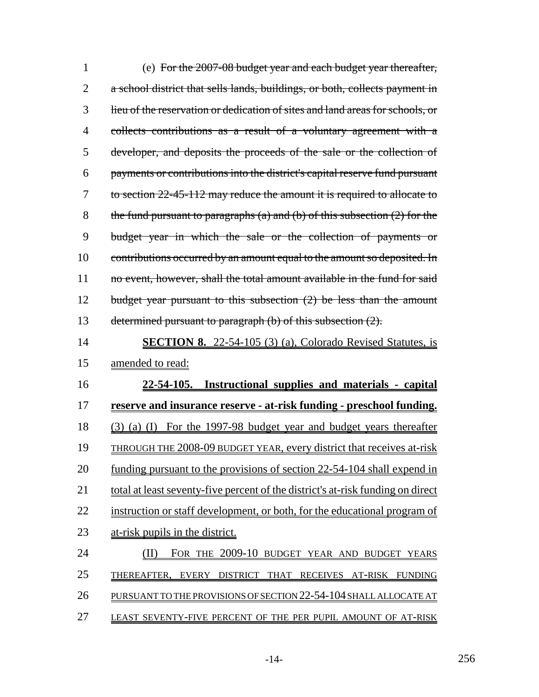| $\mathbf{1}$   | (e) For the 2007-08 budget year and each budget year thereafter,                |
|----------------|---------------------------------------------------------------------------------|
| $\overline{2}$ | a school district that sells lands, buildings, or both, collects payment in     |
| 3              | lieu of the reservation or dedication of sites and land areas for schools, or   |
| $\overline{4}$ | collects contributions as a result of a voluntary agreement with a              |
| 5              | developer, and deposits the proceeds of the sale or the collection of           |
| 6              | payments or contributions into the district's capital reserve fund pursuant     |
| 7              | to section 22-45-112 may reduce the amount it is required to allocate to        |
| 8              | the fund pursuant to paragraphs (a) and (b) of this subsection $(2)$ for the    |
| 9              | budget year in which the sale or the collection of payments or                  |
| 10             | contributions occurred by an amount equal to the amount so deposited. In        |
| 11             | no event, however, shall the total amount available in the fund for said        |
| 12             | budget year pursuant to this subsection $(2)$ be less than the amount           |
| 13             | determined pursuant to paragraph (b) of this subsection (2).                    |
| 14             | <b>SECTION 8.</b> 22-54-105 (3) (a), Colorado Revised Statutes, is              |
| 15             | <u>amended</u> to read:                                                         |
| 16             | 22-54-105. Instructional supplies and materials - capital                       |
| 17             | <u>reserve and insurance reserve - at-risk funding - preschool funding.</u>     |
| 18             | (a) (I) For the 1997-98 budget year and budget years thereafter<br>(3)          |
| 19             | <u>THROUGH THE 2008-09 BUDGET YEAR, every district that receives at-risk</u>    |
| 20             | funding pursuant to the provisions of section 22-54-104 shall expend in         |
| 21             | total at least seventy-five percent of the district's at-risk funding on direct |
| 22             | instruction or staff development, or both, for the educational program of       |
| 23             | at-risk pupils in the district.                                                 |
| 24             | FOR THE 2009-10 BUDGET YEAR AND BUDGET<br>YEARS                                 |
| 25             | THEREAFTER, EVERY<br><b>DISTRICT</b><br><b>THAT</b><br>RECEIVES AT-RISK FUNDING |
| 26             | PURSUANT TO THE PROVISIONS OF SECTION 22-54-104 SHALL ALLOCATE AT               |
| 27             | LEAST SEVENTY-FIVE PERCENT OF THE PER PUPIL AMOUNT OF AT-RISK                   |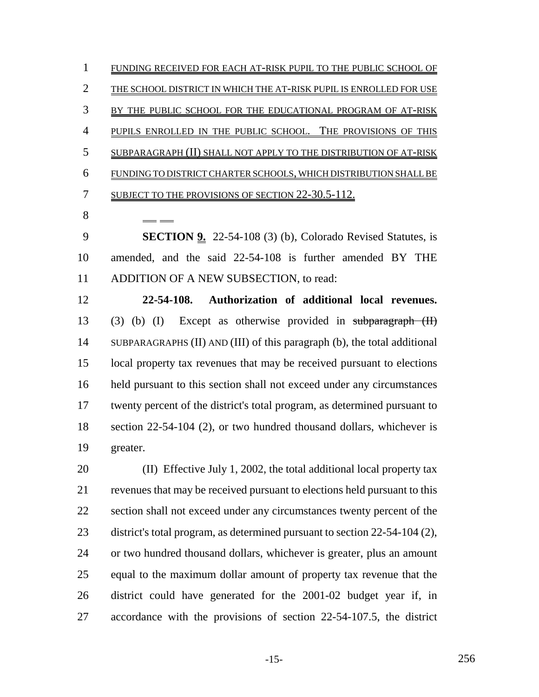FUNDING RECEIVED FOR EACH AT-RISK PUPIL TO THE PUBLIC SCHOOL OF THE SCHOOL DISTRICT IN WHICH THE AT-RISK PUPIL IS ENROLLED FOR USE BY THE PUBLIC SCHOOL FOR THE EDUCATIONAL PROGRAM OF AT-RISK 4 PUPILS ENROLLED IN THE PUBLIC SCHOOL. THE PROVISIONS OF THIS SUBPARAGRAPH (II) SHALL NOT APPLY TO THE DISTRIBUTION OF AT-RISK FUNDING TO DISTRICT CHARTER SCHOOLS, WHICH DISTRIBUTION SHALL BE 7 SUBJECT TO THE PROVISIONS OF SECTION 22-30.5-112. 

 **SECTION 9.** 22-54-108 (3) (b), Colorado Revised Statutes, is amended, and the said 22-54-108 is further amended BY THE 11 ADDITION OF A NEW SUBSECTION, to read:

 **22-54-108. Authorization of additional local revenues.** (3) (b) (I) Except as otherwise provided in subparagraph (II) SUBPARAGRAPHS (II) AND (III) of this paragraph (b), the total additional local property tax revenues that may be received pursuant to elections held pursuant to this section shall not exceed under any circumstances twenty percent of the district's total program, as determined pursuant to 18 section 22-54-104 (2), or two hundred thousand dollars, whichever is greater.

 (II) Effective July 1, 2002, the total additional local property tax revenues that may be received pursuant to elections held pursuant to this section shall not exceed under any circumstances twenty percent of the district's total program, as determined pursuant to section 22-54-104 (2), or two hundred thousand dollars, whichever is greater, plus an amount equal to the maximum dollar amount of property tax revenue that the district could have generated for the 2001-02 budget year if, in accordance with the provisions of section 22-54-107.5, the district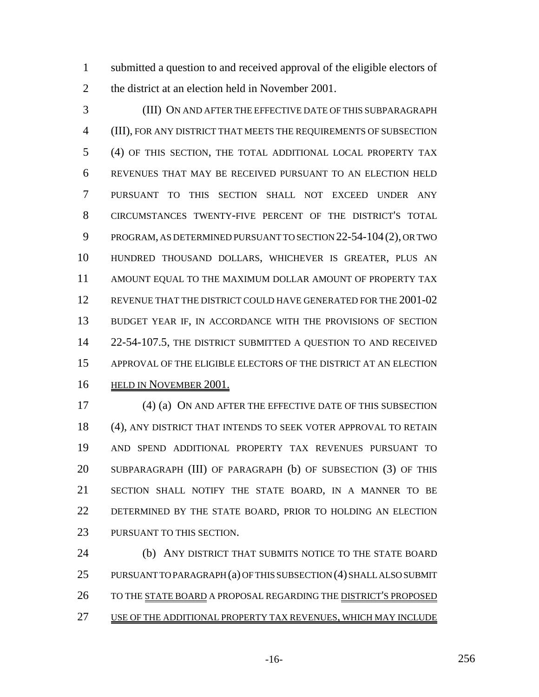submitted a question to and received approval of the eligible electors of 2 the district at an election held in November 2001.

 (III) ON AND AFTER THE EFFECTIVE DATE OF THIS SUBPARAGRAPH (III), FOR ANY DISTRICT THAT MEETS THE REQUIREMENTS OF SUBSECTION (4) OF THIS SECTION, THE TOTAL ADDITIONAL LOCAL PROPERTY TAX REVENUES THAT MAY BE RECEIVED PURSUANT TO AN ELECTION HELD PURSUANT TO THIS SECTION SHALL NOT EXCEED UNDER ANY CIRCUMSTANCES TWENTY-FIVE PERCENT OF THE DISTRICT'S TOTAL PROGRAM, AS DETERMINED PURSUANT TO SECTION 22-54-104(2), OR TWO HUNDRED THOUSAND DOLLARS, WHICHEVER IS GREATER, PLUS AN AMOUNT EQUAL TO THE MAXIMUM DOLLAR AMOUNT OF PROPERTY TAX REVENUE THAT THE DISTRICT COULD HAVE GENERATED FOR THE 2001-02 13 BUDGET YEAR IF, IN ACCORDANCE WITH THE PROVISIONS OF SECTION 14 22-54-107.5, THE DISTRICT SUBMITTED A QUESTION TO AND RECEIVED APPROVAL OF THE ELIGIBLE ELECTORS OF THE DISTRICT AT AN ELECTION HELD IN NOVEMBER 2001.

 (4) (a) ON AND AFTER THE EFFECTIVE DATE OF THIS SUBSECTION (4), ANY DISTRICT THAT INTENDS TO SEEK VOTER APPROVAL TO RETAIN AND SPEND ADDITIONAL PROPERTY TAX REVENUES PURSUANT TO SUBPARAGRAPH (III) OF PARAGRAPH (b) OF SUBSECTION (3) OF THIS SECTION SHALL NOTIFY THE STATE BOARD, IN A MANNER TO BE DETERMINED BY THE STATE BOARD, PRIOR TO HOLDING AN ELECTION PURSUANT TO THIS SECTION.

 (b) ANY DISTRICT THAT SUBMITS NOTICE TO THE STATE BOARD PURSUANT TO PARAGRAPH (a) OF THIS SUBSECTION (4) SHALL ALSO SUBMIT 26 TO THE STATE BOARD A PROPOSAL REGARDING THE DISTRICT'S PROPOSED USE OF THE ADDITIONAL PROPERTY TAX REVENUES, WHICH MAY INCLUDE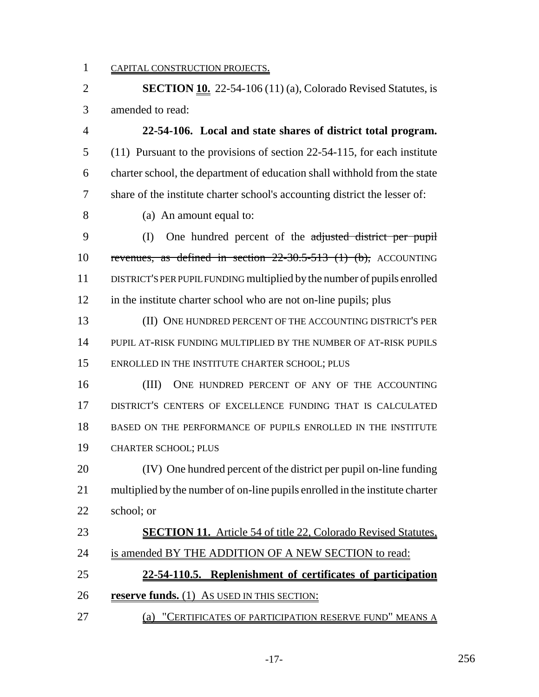CAPITAL CONSTRUCTION PROJECTS.

 **SECTION 10.** 22-54-106 (11) (a), Colorado Revised Statutes, is amended to read: **22-54-106. Local and state shares of district total program.** (11) Pursuant to the provisions of section 22-54-115, for each institute charter school, the department of education shall withhold from the state share of the institute charter school's accounting district the lesser of: (a) An amount equal to: 9 (I) One hundred percent of the adjusted district per pupil revenues, as defined in section 22-30.5-513 (1) (b), ACCOUNTING DISTRICT'S PER PUPIL FUNDING multiplied by the number of pupils enrolled 12 in the institute charter school who are not on-line pupils; plus (II) ONE HUNDRED PERCENT OF THE ACCOUNTING DISTRICT'S PER

 PUPIL AT-RISK FUNDING MULTIPLIED BY THE NUMBER OF AT-RISK PUPILS ENROLLED IN THE INSTITUTE CHARTER SCHOOL; PLUS

16 (III) ONE HUNDRED PERCENT OF ANY OF THE ACCOUNTING DISTRICT'S CENTERS OF EXCELLENCE FUNDING THAT IS CALCULATED BASED ON THE PERFORMANCE OF PUPILS ENROLLED IN THE INSTITUTE CHARTER SCHOOL; PLUS

 (IV) One hundred percent of the district per pupil on-line funding multiplied by the number of on-line pupils enrolled in the institute charter school; or

 **SECTION 11.** Article 54 of title 22, Colorado Revised Statutes, 24 is amended BY THE ADDITION OF A NEW SECTION to read: **22-54-110.5. Replenishment of certificates of participation reserve funds.** (1) AS USED IN THIS SECTION:

27 (a) "CERTIFICATES OF PARTICIPATION RESERVE FUND" MEANS A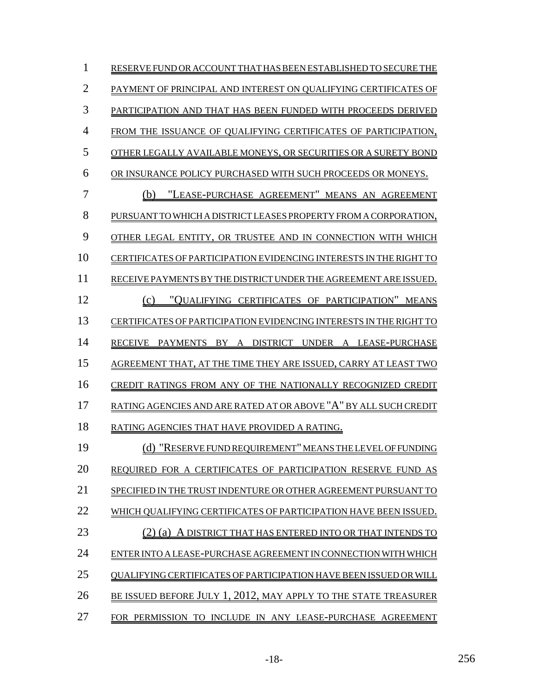| 1              | RESERVE FUND OR ACCOUNT THAT HAS BEEN ESTABLISHED TO SECURE THE    |
|----------------|--------------------------------------------------------------------|
| $\overline{2}$ | PAYMENT OF PRINCIPAL AND INTEREST ON QUALIFYING CERTIFICATES OF    |
| 3              | PARTICIPATION AND THAT HAS BEEN FUNDED WITH PROCEEDS DERIVED       |
| 4              | FROM THE ISSUANCE OF QUALIFYING CERTIFICATES OF PARTICIPATION,     |
| 5              | OTHER LEGALLY AVAILABLE MONEYS, OR SECURITIES OR A SURETY BOND     |
| 6              | OR INSURANCE POLICY PURCHASED WITH SUCH PROCEEDS OR MONEYS.        |
| 7              | "LEASE-PURCHASE AGREEMENT" MEANS AN AGREEMENT<br>(b)               |
| 8              | PURSUANT TO WHICH A DISTRICT LEASES PROPERTY FROM A CORPORATION,   |
| 9              | OTHER LEGAL ENTITY, OR TRUSTEE AND IN CONNECTION WITH WHICH        |
| 10             | CERTIFICATES OF PARTICIPATION EVIDENCING INTERESTS IN THE RIGHT TO |
| 11             | RECEIVE PAYMENTS BY THE DISTRICT UNDER THE AGREEMENT ARE ISSUED.   |
| 12             | "QUALIFYING CERTIFICATES OF PARTICIPATION" MEANS<br>(c)            |
| 13             | CERTIFICATES OF PARTICIPATION EVIDENCING INTERESTS IN THE RIGHT TO |
| 14             | RECEIVE PAYMENTS BY A DISTRICT UNDER A LEASE-PURCHASE              |
| 15             | AGREEMENT THAT, AT THE TIME THEY ARE ISSUED, CARRY AT LEAST TWO    |
| 16             | CREDIT RATINGS FROM ANY OF THE NATIONALLY RECOGNIZED CREDIT        |
| 17             | RATING AGENCIES AND ARE RATED AT OR ABOVE "A" BY ALL SUCH CREDIT   |
| 18             | RATING AGENCIES THAT HAVE PROVIDED A RATING.                       |
| 19             | (d) "RESERVE FUND REQUIREMENT" MEANS THE LEVEL OF FUNDING          |
| 20             | REQUIRED FOR A CERTIFICATES OF PARTICIPATION RESERVE FUND AS       |
| 21             | SPECIFIED IN THE TRUST INDENTURE OR OTHER AGREEMENT PURSUANT TO    |
| 22             | WHICH QUALIFYING CERTIFICATES OF PARTICIPATION HAVE BEEN ISSUED.   |
| 23             | $(2)$ (a)<br>A DISTRICT THAT HAS ENTERED INTO OR THAT INTENDS TO   |
| 24             | ENTER INTO A LEASE-PURCHASE AGREEMENT IN CONNECTION WITH WHICH     |
| 25             | QUALIFYING CERTIFICATES OF PARTICIPATION HAVE BEEN ISSUED OR WILL  |
| 26             | BE ISSUED BEFORE JULY 1, 2012, MAY APPLY TO THE STATE TREASURER    |
| 27             | FOR PERMISSION TO INCLUDE IN ANY LEASE-PURCHASE AGREEMENT          |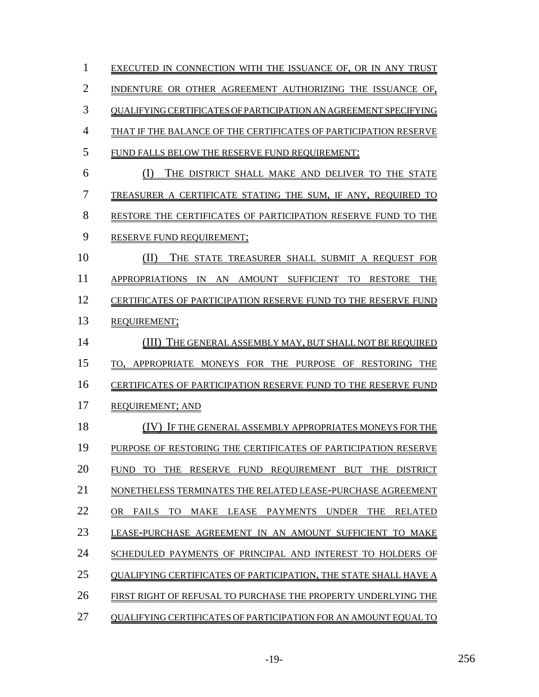| 1  | EXECUTED IN CONNECTION WITH THE ISSUANCE OF. OR IN ANY TRUST                                                   |
|----|----------------------------------------------------------------------------------------------------------------|
| 2  | INDENTURE OR OTHER AGREEMENT AUTHORIZING THE ISSUANCE OF.                                                      |
| 3  | OUALIFYING CERTIFICATES OF PARTICIPATION AN AGREEMENT SPECIFYING                                               |
| 4  | THAT IF THE BALANCE OF THE CERTIFICATES OF PARTICIPATION RESERVE                                               |
| 5  | FUND FALLS BELOW THE RESERVE FUND REQUIREMENT:                                                                 |
| 6  | THE DISTRICT SHALL MAKE AND DELIVER TO THE STATE<br>$\left( \left  \right  \right)$                            |
| 7  | TREASURER A CERTIFICATE STATING THE SUM, IF ANY, REQUIRED<br>TO                                                |
| 8  | RESTORE THE CERTIFICATES OF PARTICIPATION RESERVE FUND TO THE                                                  |
| 9  | <b>RESERVE FUND REQUIREMENT:</b>                                                                               |
| 10 | (II)<br>THE STATE TREASURER SHALL SUBMIT A REQUEST<br><b>FOR</b>                                               |
| 11 | <b>APPROPRIATIONS</b><br><b>AMOUNT</b><br><b>SUFFICIENT</b><br>TO.<br><b>RESTORE</b><br><b>THE</b><br>IN<br>AN |
| 12 | CERTIFICATES OF PARTICIPATION RESERVE FUND TO THE RESERVE FUND                                                 |
| 13 | REQUIREMENT;                                                                                                   |
| 14 | THE GENERAL ASSEMBLY MAY, BUT SHALL NOT BE REQUIRED                                                            |
| 15 | PURPOSE OF RESTORING<br>TO. APPROPRIATE MONEYS FOR THE<br>THE                                                  |
| 16 | CERTIFICATES OF PARTICIPATION RESERVE FUND TO THE RESERVE FUND                                                 |
| 17 | <b>REQUIREMENT; AND</b>                                                                                        |
| 18 | IF THE GENERAL ASSEMBLY APPROPRIATES MONEYS FOR THE                                                            |
| 19 | PURPOSE OF RESTORING THE CERTIFICATES OF PARTICIPATION RESERVE                                                 |
| 20 | FUND<br>TO<br>THE<br><b>RESERVE</b><br><b>FUND</b><br><b>REQUIREMENT</b><br>BUT<br>THE<br><b>DISTRICT</b>      |
| 21 | NONETHELESS TERMINATES THE RELATED LEASE-PURCHASE AGREEMENT                                                    |
| 22 | LEASE<br><b>THE</b><br>OR.<br><b>FAILS</b><br>TO.<br>MAKE<br>PAYMENTS<br><b>UNDER</b><br><b>RELATED</b>        |
| 23 | LEASE-PURCHASE AGREEMENT IN AN AMOUNT SUFFICIENT<br>TO MAKE                                                    |
| 24 | SCHEDULED PAYMENTS OF PRINCIPAL AND INTEREST TO HOLDERS OF                                                     |
| 25 | OUALIFYING CERTIFICATES OF PARTICIPATION. THE STATE SHALL HAVE A                                               |
| 26 | FIRST RIGHT OF REFUSAL TO PURCHASE THE PROPERTY UNDERLYING THE                                                 |
| 27 | OUALIFYING CERTIFICATES OF PARTICIPATION FOR AN AMOUNT EOUAL TO                                                |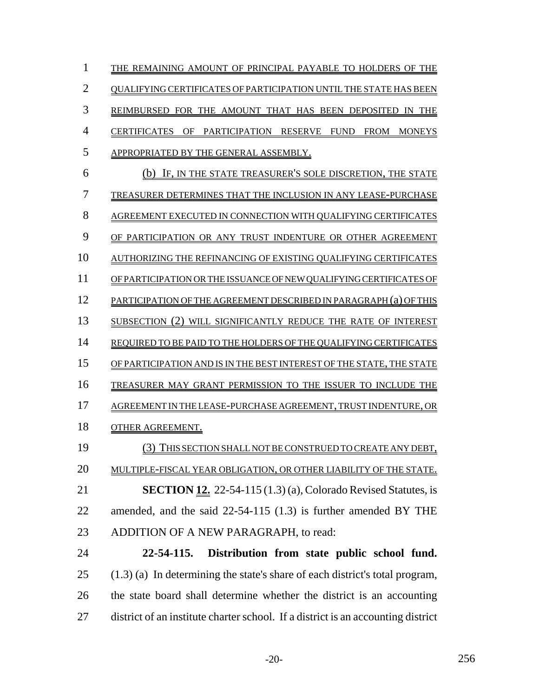| 1              | THE REMAINING AMOUNT OF PRINCIPAL PAYABLE TO HOLDERS OF THE                             |
|----------------|-----------------------------------------------------------------------------------------|
| $\overline{2}$ | <b>OUALIFYING CERTIFICATES OF PARTICIPATION UNTIL THE STATE HAS BEEN</b>                |
| 3              | REIMBURSED FOR THE AMOUNT THAT HAS BEEN DEPOSITED<br>THE<br>- IN                        |
| $\overline{4}$ | PARTICIPATION RESERVE FUND<br><b>FROM</b><br><b>CERTIFICATES</b><br>OF<br><b>MONEYS</b> |
| 5              | APPROPRIATED BY THE GENERAL ASSEMBLY.                                                   |
| 6              | IF, IN THE STATE TREASURER'S SOLE DISCRETION, THE STATE<br>(b)                          |
| 7              | TREASURER DETERMINES THAT THE INCLUSION IN ANY LEASE-PURCHASE                           |
| 8              | AGREEMENT EXECUTED IN CONNECTION WITH QUALIFYING CERTIFICATES                           |
| 9              | OF PARTICIPATION OR ANY TRUST INDENTURE OR OTHER AGREEMENT                              |
| 10             | AUTHORIZING THE REFINANCING OF EXISTING QUALIFYING CERTIFICATES                         |
| 11             | OF PARTICIPATION OR THE ISSUANCE OF NEW QUALIFYING CERTIFICATES OF                      |
| 12             | PARTICIPATION OF THE AGREEMENT DESCRIBED IN PARAGRAPH (a) OF THIS                       |
| 13             | SUBSECTION (2) WILL SIGNIFICANTLY REDUCE THE RATE OF INTEREST                           |
| 14             | REQUIRED TO BE PAID TO THE HOLDERS OF THE QUALIFYING CERTIFICATES                       |
| 15             | OF PARTICIPATION AND IS IN THE BEST INTEREST OF THE STATE, THE STATE                    |
| 16             | TREASURER MAY GRANT PERMISSION TO THE ISSUER TO INCLUDE THE                             |
| 17             | AGREEMENT IN THE LEASE-PURCHASE AGREEMENT, TRUST INDENTURE, OR                          |
| 18             | OTHER AGREEMENT.                                                                        |
| 19             | THIS SECTION SHALL NOT BE CONSTRUED TO CREATE ANY DEBT,<br>(3)                          |
| 20             | MULTIPLE-FISCAL YEAR OBLIGATION, OR OTHER LIABILITY OF THE STATE.                       |
| 21             | <b>SECTION 12.</b> 22-54-115 $(1.3)$ (a), Colorado Revised Statutes, is                 |
| 22             | amended, and the said 22-54-115 (1.3) is further amended BY THE                         |
| 23             | ADDITION OF A NEW PARAGRAPH, to read:                                                   |
| 24             | 22-54-115.<br>Distribution from state public school fund.                               |
| 25             | $(1.3)$ (a) In determining the state's share of each district's total program,          |
| 26             | the state board shall determine whether the district is an accounting                   |

district of an institute charter school. If a district is an accounting district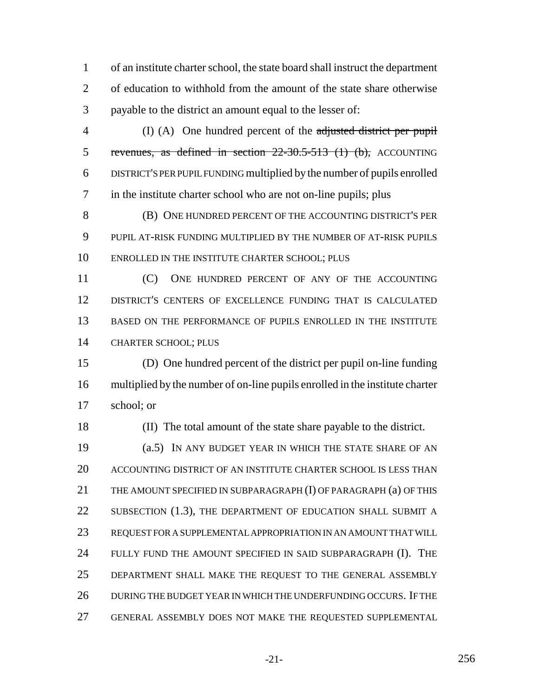of an institute charter school, the state board shall instruct the department of education to withhold from the amount of the state share otherwise payable to the district an amount equal to the lesser of:

 (I) (A) One hundred percent of the adjusted district per pupil revenues, as defined in section 22-30.5-513 (1) (b), ACCOUNTING DISTRICT'S PER PUPIL FUNDING multiplied by the number of pupils enrolled in the institute charter school who are not on-line pupils; plus

 (B) ONE HUNDRED PERCENT OF THE ACCOUNTING DISTRICT'S PER PUPIL AT-RISK FUNDING MULTIPLIED BY THE NUMBER OF AT-RISK PUPILS ENROLLED IN THE INSTITUTE CHARTER SCHOOL; PLUS

11 (C) ONE HUNDRED PERCENT OF ANY OF THE ACCOUNTING DISTRICT'S CENTERS OF EXCELLENCE FUNDING THAT IS CALCULATED BASED ON THE PERFORMANCE OF PUPILS ENROLLED IN THE INSTITUTE CHARTER SCHOOL; PLUS

 (D) One hundred percent of the district per pupil on-line funding multiplied by the number of on-line pupils enrolled in the institute charter school; or

(II) The total amount of the state share payable to the district.

 (a.5) IN ANY BUDGET YEAR IN WHICH THE STATE SHARE OF AN ACCOUNTING DISTRICT OF AN INSTITUTE CHARTER SCHOOL IS LESS THAN 21 THE AMOUNT SPECIFIED IN SUBPARAGRAPH (I) OF PARAGRAPH (a) OF THIS 22 SUBSECTION (1.3), THE DEPARTMENT OF EDUCATION SHALL SUBMIT A REQUEST FOR A SUPPLEMENTAL APPROPRIATION IN AN AMOUNT THAT WILL FULLY FUND THE AMOUNT SPECIFIED IN SAID SUBPARAGRAPH (I). THE DEPARTMENT SHALL MAKE THE REQUEST TO THE GENERAL ASSEMBLY DURING THE BUDGET YEAR IN WHICH THE UNDERFUNDING OCCURS. IF THE GENERAL ASSEMBLY DOES NOT MAKE THE REQUESTED SUPPLEMENTAL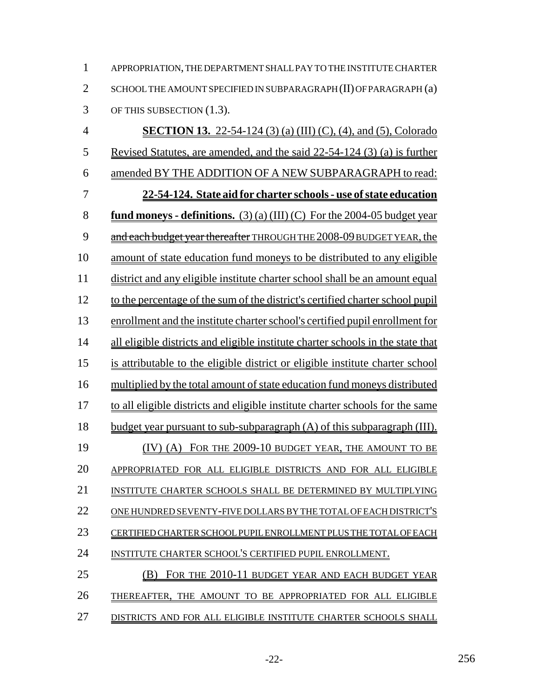APPROPRIATION, THE DEPARTMENT SHALL PAY TO THE INSTITUTE CHARTER 2 SCHOOL THE AMOUNT SPECIFIED IN SUBPARAGRAPH (II) OF PARAGRAPH (a) OF THIS SUBSECTION (1.3).

 **SECTION 13.** 22-54-124 (3) (a) (III) (C), (4), and (5), Colorado Revised Statutes, are amended, and the said 22-54-124 (3) (a) is further amended BY THE ADDITION OF A NEW SUBPARAGRAPH to read: **22-54-124. State aid for charter schools - use of state education fund moneys - definitions.** (3) (a) (III) (C) For the 2004-05 budget year 9 and each budget year thereafter THROUGH THE 2008-09 BUDGET YEAR, the amount of state education fund moneys to be distributed to any eligible district and any eligible institute charter school shall be an amount equal to the percentage of the sum of the district's certified charter school pupil enrollment and the institute charter school's certified pupil enrollment for 14 all eligible districts and eligible institute charter schools in the state that is attributable to the eligible district or eligible institute charter school multiplied by the total amount of state education fund moneys distributed to all eligible districts and eligible institute charter schools for the same budget year pursuant to sub-subparagraph (A) of this subparagraph (III). 19 (IV) (A) FOR THE 2009-10 BUDGET YEAR, THE AMOUNT TO BE APPROPRIATED FOR ALL ELIGIBLE DISTRICTS AND FOR ALL ELIGIBLE INSTITUTE CHARTER SCHOOLS SHALL BE DETERMINED BY MULTIPLYING ONE HUNDRED SEVENTY-FIVE DOLLARS BY THE TOTAL OF EACH DISTRICT'S CERTIFIED CHARTER SCHOOL PUPIL ENROLLMENT PLUS THE TOTAL OF EACH INSTITUTE CHARTER SCHOOL'S CERTIFIED PUPIL ENROLLMENT. (B) FOR THE 2010-11 BUDGET YEAR AND EACH BUDGET YEAR THEREAFTER, THE AMOUNT TO BE APPROPRIATED FOR ALL ELIGIBLE DISTRICTS AND FOR ALL ELIGIBLE INSTITUTE CHARTER SCHOOLS SHALL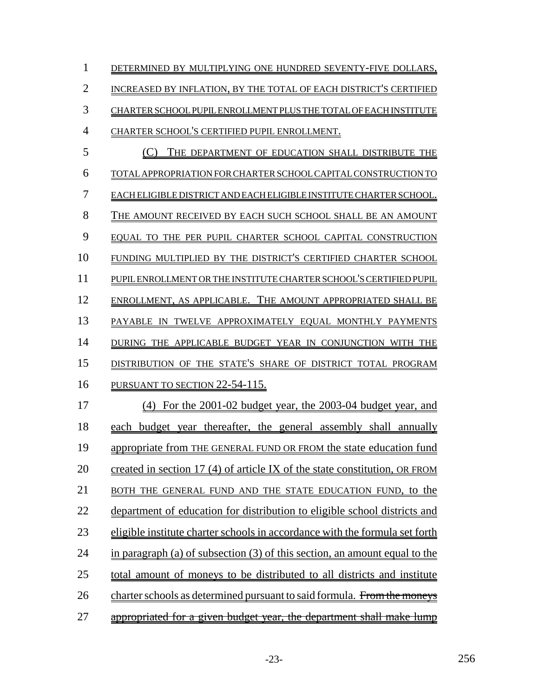| $\mathbf{1}$   | DETERMINED BY MULTIPLYING ONE HUNDRED SEVENTY-FIVE DOLLARS,                  |
|----------------|------------------------------------------------------------------------------|
| $\overline{2}$ | INCREASED BY INFLATION, BY THE TOTAL OF EACH DISTRICT'S CERTIFIED            |
| 3              | CHARTER SCHOOL PUPIL ENROLLMENT PLUS THE TOTAL OF EACH INSTITUTE             |
| $\overline{4}$ | CHARTER SCHOOL'S CERTIFIED PUPIL ENROLLMENT.                                 |
| 5              | (C)<br>THE DEPARTMENT OF EDUCATION SHALL DISTRIBUTE THE                      |
| 6              | TOTAL APPROPRIATION FOR CHARTER SCHOOL CAPITAL CONSTRUCTION TO               |
| 7              | EACH ELIGIBLE DISTRICT AND EACH ELIGIBLE INSTITUTE CHARTER SCHOOL.           |
| 8              | THE AMOUNT RECEIVED BY EACH SUCH SCHOOL SHALL BE AN AMOUNT                   |
| 9              | EQUAL TO THE PER PUPIL CHARTER SCHOOL CAPITAL CONSTRUCTION                   |
| 10             | FUNDING MULTIPLIED BY THE DISTRICT'S CERTIFIED CHARTER SCHOOL                |
| 11             | PUPIL ENROLLMENT OR THE INSTITUTE CHARTER SCHOOL'S CERTIFIED PUPIL           |
| 12             | ENROLLMENT, AS APPLICABLE. THE AMOUNT APPROPRIATED SHALL BE                  |
| 13             | PAYABLE IN TWELVE APPROXIMATELY EQUAL MONTHLY PAYMENTS                       |
| 14             | DURING THE APPLICABLE BUDGET YEAR IN CONJUNCTION WITH THE                    |
| 15             | DISTRIBUTION OF THE STATE'S SHARE OF DISTRICT TOTAL PROGRAM                  |
| 16             | PURSUANT TO SECTION 22-54-115.                                               |
| 17             | (4) For the 2001-02 budget year, the 2003-04 budget year, and                |
| 18             | each budget year thereafter, the general assembly shall annually             |
| 19             | appropriate from THE GENERAL FUND OR FROM the state education fund           |
| 20             | created in section 17 (4) of article IX of the state constitution, OR FROM   |
| 21             | BOTH THE GENERAL FUND AND THE STATE EDUCATION FUND, to the                   |
| 22             | department of education for distribution to eligible school districts and    |
| 23             | eligible institute charter schools in accordance with the formula set forth  |
| 24             | in paragraph (a) of subsection $(3)$ of this section, an amount equal to the |
| 25             | total amount of moneys to be distributed to all districts and institute      |
| 26             | charter schools as determined pursuant to said formula. From the moneys      |
| 27             | appropriated for a given budget year, the department shall make lump         |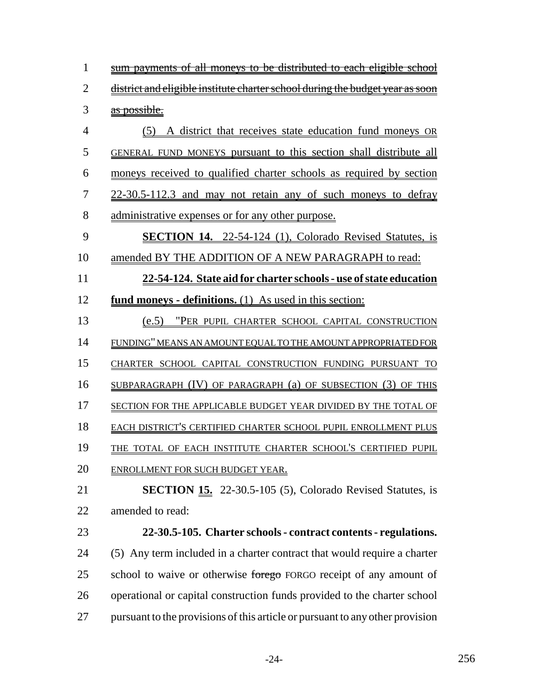| $\mathbf{1}$   | <u>sum payments of all moneys to be distributed to each eligible school</u>   |
|----------------|-------------------------------------------------------------------------------|
| $\overline{2}$ |                                                                               |
|                | district and eligible institute charter school during the budget year as soon |
| 3              | as possible.                                                                  |
| $\overline{4}$ | (5) A district that receives state education fund moneys OR                   |
| 5              | GENERAL FUND MONEYS pursuant to this section shall distribute all             |
| 6              | moneys received to qualified charter schools as required by section           |
| 7              | 22-30.5-112.3 and may not retain any of such moneys to defray                 |
| 8              | administrative expenses or for any other purpose.                             |
| 9              | <b>SECTION 14.</b> 22-54-124 (1), Colorado Revised Statutes, is               |
| 10             | amended BY THE ADDITION OF A NEW PARAGRAPH to read:                           |
| 11             | 22-54-124. State aid for charter schools - use of state education             |
| 12             | <b>fund moneys - definitions.</b> (1) As used in this section:                |
| 13             | (e.5) "PER PUPIL CHARTER SCHOOL CAPITAL CONSTRUCTION                          |
| 14             | FUNDING" MEANS AN AMOUNT EQUAL TO THE AMOUNT APPROPRIATED FOR                 |
| 15             | CHARTER SCHOOL CAPITAL CONSTRUCTION FUNDING PURSUANT TO                       |
| 16             | SUBPARAGRAPH (IV) OF PARAGRAPH (a) OF SUBSECTION (3) OF THIS                  |
| 17             | SECTION FOR THE APPLICABLE BUDGET YEAR DIVIDED BY THE TOTAL OF                |
| 18             | EACH DISTRICT'S CERTIFIED CHARTER SCHOOL PUPIL ENROLLMENT PLUS                |
| 19             | THE TOTAL OF EACH INSTITUTE CHARTER SCHOOL'S CERTIFIED PUPIL                  |
| 20             | ENROLLMENT FOR SUCH BUDGET YEAR.                                              |
| 21             | <b>SECTION 15.</b> 22-30.5-105 (5), Colorado Revised Statutes, is             |
| 22             | amended to read:                                                              |
| 23             | 22-30.5-105. Charter schools - contract contents - regulations.               |
| 24             | (5) Any term included in a charter contract that would require a charter      |
| 25             | school to waive or otherwise forego FORGO receipt of any amount of            |
| 26             | operational or capital construction funds provided to the charter school      |
| 27             | pursuant to the provisions of this article or pursuant to any other provision |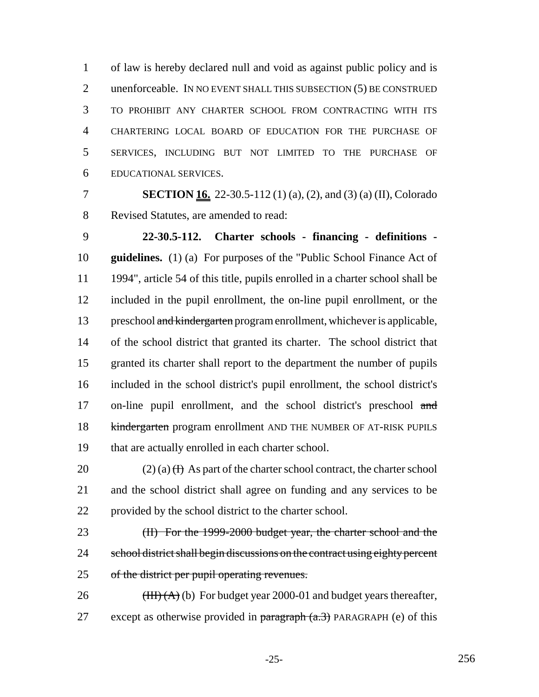of law is hereby declared null and void as against public policy and is 2 unenforceable. IN NO EVENT SHALL THIS SUBSECTION (5) BE CONSTRUED TO PROHIBIT ANY CHARTER SCHOOL FROM CONTRACTING WITH ITS CHARTERING LOCAL BOARD OF EDUCATION FOR THE PURCHASE OF SERVICES, INCLUDING BUT NOT LIMITED TO THE PURCHASE OF EDUCATIONAL SERVICES.

 **SECTION 16.** 22-30.5-112 (1) (a), (2), and (3) (a) (II), Colorado Revised Statutes, are amended to read:

 **22-30.5-112. Charter schools - financing - definitions - guidelines.** (1) (a) For purposes of the "Public School Finance Act of 1994", article 54 of this title, pupils enrolled in a charter school shall be included in the pupil enrollment, the on-line pupil enrollment, or the 13 preschool and kindergarten program enrollment, whichever is applicable, of the school district that granted its charter. The school district that granted its charter shall report to the department the number of pupils included in the school district's pupil enrollment, the school district's 17 on-line pupil enrollment, and the school district's preschool and 18 kindergarten program enrollment AND THE NUMBER OF AT-RISK PUPILS that are actually enrolled in each charter school.

20 (2) (a)  $(H)$  As part of the charter school contract, the charter school and the school district shall agree on funding and any services to be provided by the school district to the charter school.

23 (II) For the 1999-2000 budget year, the charter school and the 24 school district shall begin discussions on the contract using eighty percent of the district per pupil operating revenues.

26  $(HH)(A)(b)$  For budget year 2000-01 and budget years thereafter, 27 except as otherwise provided in  $\frac{\partial^2 f}{\partial x^2}$  PARAGRAPH (e) of this

-25- 256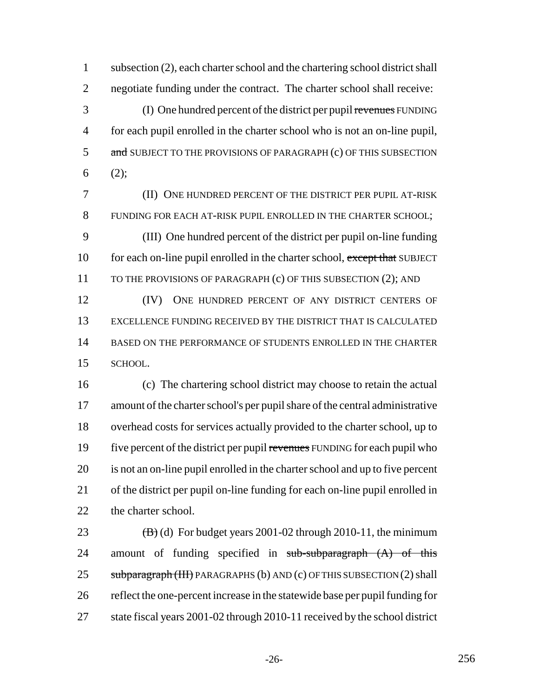subsection (2), each charter school and the chartering school district shall negotiate funding under the contract. The charter school shall receive:

 (I) One hundred percent of the district per pupil revenues FUNDING for each pupil enrolled in the charter school who is not an on-line pupil, 5 and SUBJECT TO THE PROVISIONS OF PARAGRAPH (c) OF THIS SUBSECTION  $6(2)$ ;

 (II) ONE HUNDRED PERCENT OF THE DISTRICT PER PUPIL AT-RISK FUNDING FOR EACH AT-RISK PUPIL ENROLLED IN THE CHARTER SCHOOL; (III) One hundred percent of the district per pupil on-line funding 10 for each on-line pupil enrolled in the charter school, except that SUBJECT 11 TO THE PROVISIONS OF PARAGRAPH (c) OF THIS SUBSECTION (2); AND (IV) ONE HUNDRED PERCENT OF ANY DISTRICT CENTERS OF

 EXCELLENCE FUNDING RECEIVED BY THE DISTRICT THAT IS CALCULATED BASED ON THE PERFORMANCE OF STUDENTS ENROLLED IN THE CHARTER SCHOOL.

 (c) The chartering school district may choose to retain the actual amount of the charter school's per pupil share of the central administrative overhead costs for services actually provided to the charter school, up to 19 five percent of the district per pupil revenues FUNDING for each pupil who is not an on-line pupil enrolled in the charter school and up to five percent of the district per pupil on-line funding for each on-line pupil enrolled in 22 the charter school.

23  $(B)$  (d) For budget years 2001-02 through 2010-11, the minimum 24 amount of funding specified in sub-subparagraph (A) of this 25 subparagraph (III) PARAGRAPHS (b) AND (c) OF THIS SUBSECTION (2) shall reflect the one-percent increase in the statewide base per pupil funding for state fiscal years 2001-02 through 2010-11 received by the school district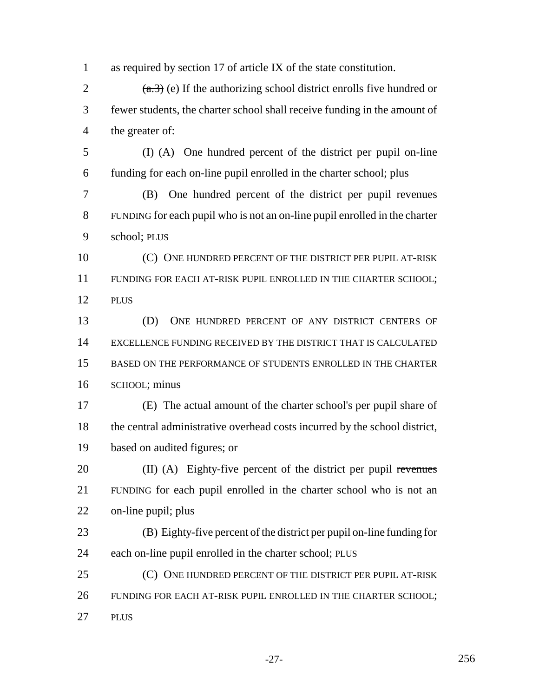as required by section 17 of article IX of the state constitution.  $(a.3)$  (e) If the authorizing school district enrolls five hundred or fewer students, the charter school shall receive funding in the amount of the greater of: (I) (A) One hundred percent of the district per pupil on-line funding for each on-line pupil enrolled in the charter school; plus (B) One hundred percent of the district per pupil revenues FUNDING for each pupil who is not an on-line pupil enrolled in the charter school; PLUS 10 (C) ONE HUNDRED PERCENT OF THE DISTRICT PER PUPIL AT-RISK FUNDING FOR EACH AT-RISK PUPIL ENROLLED IN THE CHARTER SCHOOL; PLUS (D) ONE HUNDRED PERCENT OF ANY DISTRICT CENTERS OF EXCELLENCE FUNDING RECEIVED BY THE DISTRICT THAT IS CALCULATED BASED ON THE PERFORMANCE OF STUDENTS ENROLLED IN THE CHARTER SCHOOL; minus (E) The actual amount of the charter school's per pupil share of the central administrative overhead costs incurred by the school district, based on audited figures; or 20 (II) (A) Eighty-five percent of the district per pupil revenues FUNDING for each pupil enrolled in the charter school who is not an on-line pupil; plus (B) Eighty-five percent of the district per pupil on-line funding for each on-line pupil enrolled in the charter school; PLUS 25 (C) ONE HUNDRED PERCENT OF THE DISTRICT PER PUPIL AT-RISK FUNDING FOR EACH AT-RISK PUPIL ENROLLED IN THE CHARTER SCHOOL; PLUS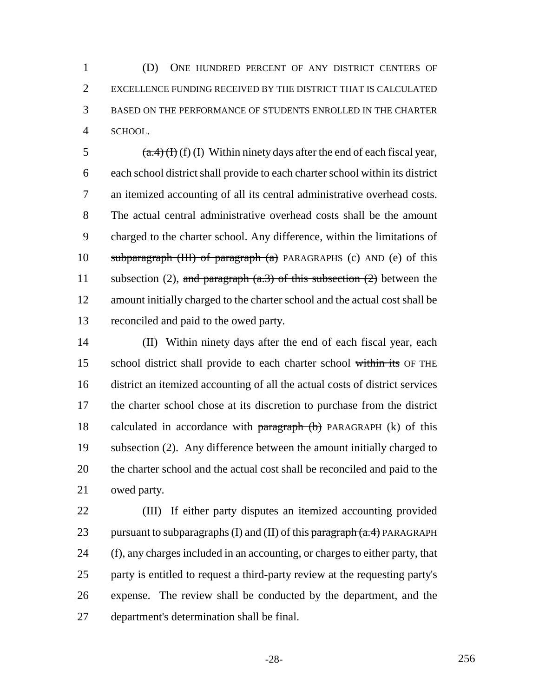(D) ONE HUNDRED PERCENT OF ANY DISTRICT CENTERS OF EXCELLENCE FUNDING RECEIVED BY THE DISTRICT THAT IS CALCULATED BASED ON THE PERFORMANCE OF STUDENTS ENROLLED IN THE CHARTER SCHOOL.

 $(a.4)(f)(f)(I)$  Within ninety days after the end of each fiscal year, each school district shall provide to each charter school within its district an itemized accounting of all its central administrative overhead costs. The actual central administrative overhead costs shall be the amount charged to the charter school. Any difference, within the limitations of subparagraph (III) of paragraph (a) PARAGRAPHS (c) AND (e) of this 11 subsection (2), and paragraph  $(a.3)$  of this subsection (2) between the amount initially charged to the charter school and the actual cost shall be reconciled and paid to the owed party.

 (II) Within ninety days after the end of each fiscal year, each 15 school district shall provide to each charter school within its OF THE district an itemized accounting of all the actual costs of district services the charter school chose at its discretion to purchase from the district 18 calculated in accordance with  $\frac{18}{2}$  paragraph (b) PARAGRAPH (k) of this subsection (2). Any difference between the amount initially charged to the charter school and the actual cost shall be reconciled and paid to the owed party.

 (III) If either party disputes an itemized accounting provided 23 pursuant to subparagraphs (I) and (II) of this  $\frac{\partial^2 f}{\partial x^2}$  paragraph (a.4) PARAGRAPH (f), any charges included in an accounting, or charges to either party, that party is entitled to request a third-party review at the requesting party's expense. The review shall be conducted by the department, and the department's determination shall be final.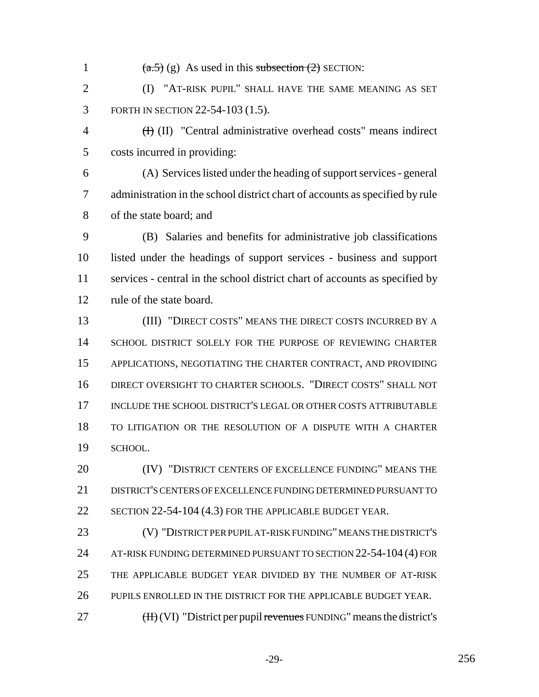$(a.5)$  (g) As used in this subsection (2) SECTION: **(I) "AT-RISK PUPIL" SHALL HAVE THE SAME MEANING AS SET**  FORTH IN SECTION 22-54-103 (1.5). (I) (II) "Central administrative overhead costs" means indirect costs incurred in providing: (A) Services listed under the heading of support services - general administration in the school district chart of accounts as specified by rule of the state board; and (B) Salaries and benefits for administrative job classifications listed under the headings of support services - business and support services - central in the school district chart of accounts as specified by rule of the state board. (III) "DIRECT COSTS" MEANS THE DIRECT COSTS INCURRED BY A SCHOOL DISTRICT SOLELY FOR THE PURPOSE OF REVIEWING CHARTER APPLICATIONS, NEGOTIATING THE CHARTER CONTRACT, AND PROVIDING DIRECT OVERSIGHT TO CHARTER SCHOOLS. "DIRECT COSTS" SHALL NOT INCLUDE THE SCHOOL DISTRICT'S LEGAL OR OTHER COSTS ATTRIBUTABLE TO LITIGATION OR THE RESOLUTION OF A DISPUTE WITH A CHARTER SCHOOL. **(IV) "DISTRICT CENTERS OF EXCELLENCE FUNDING" MEANS THE**  DISTRICT'S CENTERS OF EXCELLENCE FUNDING DETERMINED PURSUANT TO 22 SECTION 22-54-104 (4.3) FOR THE APPLICABLE BUDGET YEAR. (V) "DISTRICT PER PUPIL AT-RISK FUNDING" MEANS THE DISTRICT'S 24 AT-RISK FUNDING DETERMINED PURSUANT TO SECTION 22-54-104 (4) FOR THE APPLICABLE BUDGET YEAR DIVIDED BY THE NUMBER OF AT-RISK PUPILS ENROLLED IN THE DISTRICT FOR THE APPLICABLE BUDGET YEAR. (H) (VI) "District per pupil revenues FUNDING" means the district's

-29- 256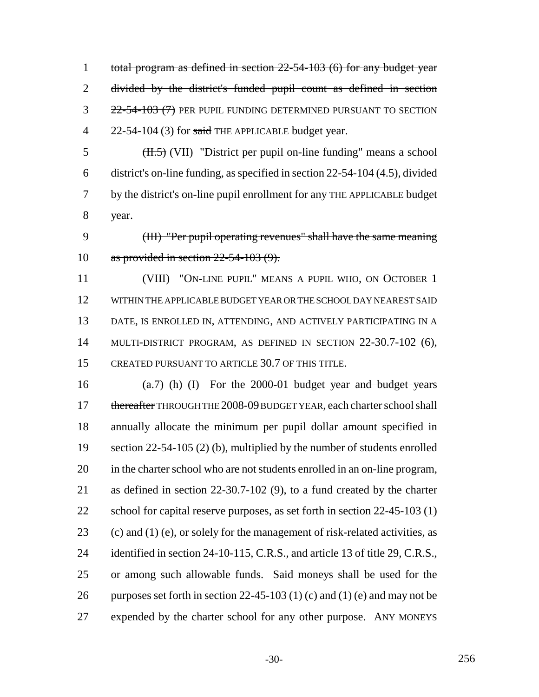total program as defined in section 22-54-103 (6) for any budget year divided by the district's funded pupil count as defined in section 3 22-54-103 (7) PER PUPIL FUNDING DETERMINED PURSUANT TO SECTION 4 22-54-104 (3) for said THE APPLICABLE budget year.

 $\overline{3}$  (H.5) (VII) "District per pupil on-line funding" means a school district's on-line funding, as specified in section 22-54-104 (4.5), divided 7 by the district's on-line pupil enrollment for any THE APPLICABLE budget year.

 (III) "Per pupil operating revenues" shall have the same meaning as provided in section 22-54-103 (9).

 (VIII) "ON-LINE PUPIL" MEANS A PUPIL WHO, ON OCTOBER 1 WITHIN THE APPLICABLE BUDGET YEAR OR THE SCHOOL DAY NEAREST SAID DATE, IS ENROLLED IN, ATTENDING, AND ACTIVELY PARTICIPATING IN A MULTI-DISTRICT PROGRAM, AS DEFINED IN SECTION 22-30.7-102 (6), CREATED PURSUANT TO ARTICLE 30.7 OF THIS TITLE.

16  $(a.7)$  (h) (I) For the 2000-01 budget year and budget years 17 thereafter THROUGH THE 2008-09 BUDGET YEAR, each charter school shall annually allocate the minimum per pupil dollar amount specified in section 22-54-105 (2) (b), multiplied by the number of students enrolled in the charter school who are not students enrolled in an on-line program, as defined in section 22-30.7-102 (9), to a fund created by the charter 22 school for capital reserve purposes, as set forth in section 22-45-103 (1) 23 (c) and (1) (e), or solely for the management of risk-related activities, as 24 identified in section 24-10-115, C.R.S., and article 13 of title 29, C.R.S., or among such allowable funds. Said moneys shall be used for the 26 purposes set forth in section 22-45-103 (1) (c) and (1) (e) and may not be expended by the charter school for any other purpose. ANY MONEYS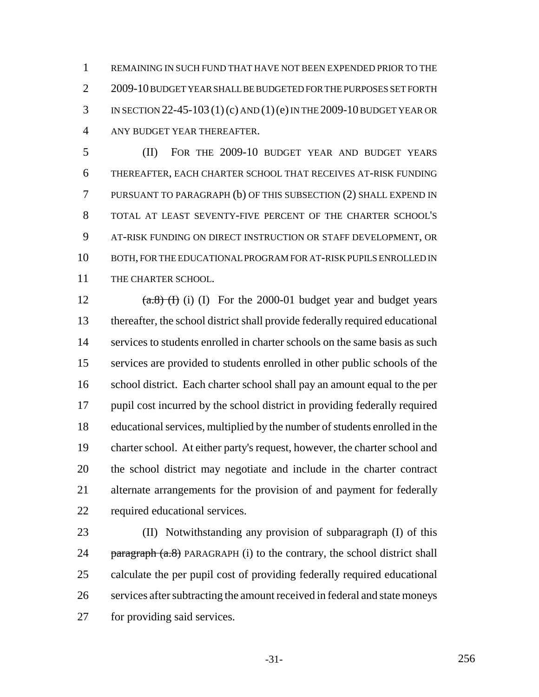REMAINING IN SUCH FUND THAT HAVE NOT BEEN EXPENDED PRIOR TO THE 2 2009-10 BUDGET YEAR SHALL BE BUDGETED FOR THE PURPOSES SET FORTH IN SECTION 22-45-103 (1)(c) AND (1)(e) IN THE 2009-10 BUDGET YEAR OR ANY BUDGET YEAR THEREAFTER.

 (II) FOR THE 2009-10 BUDGET YEAR AND BUDGET YEARS THEREAFTER, EACH CHARTER SCHOOL THAT RECEIVES AT-RISK FUNDING PURSUANT TO PARAGRAPH (b) OF THIS SUBSECTION (2) SHALL EXPEND IN TOTAL AT LEAST SEVENTY-FIVE PERCENT OF THE CHARTER SCHOOL'S AT-RISK FUNDING ON DIRECT INSTRUCTION OR STAFF DEVELOPMENT, OR BOTH, FOR THE EDUCATIONAL PROGRAM FOR AT-RISK PUPILS ENROLLED IN 11 THE CHARTER SCHOOL.

 $(a.8)$  (I) (I) For the 2000-01 budget year and budget years thereafter, the school district shall provide federally required educational 14 services to students enrolled in charter schools on the same basis as such services are provided to students enrolled in other public schools of the school district. Each charter school shall pay an amount equal to the per pupil cost incurred by the school district in providing federally required educational services, multiplied by the number of students enrolled in the charter school. At either party's request, however, the charter school and the school district may negotiate and include in the charter contract alternate arrangements for the provision of and payment for federally required educational services.

 (II) Notwithstanding any provision of subparagraph (I) of this 24 paragraph  $(a.8)$  PARAGRAPH (i) to the contrary, the school district shall calculate the per pupil cost of providing federally required educational services after subtracting the amount received in federal and state moneys for providing said services.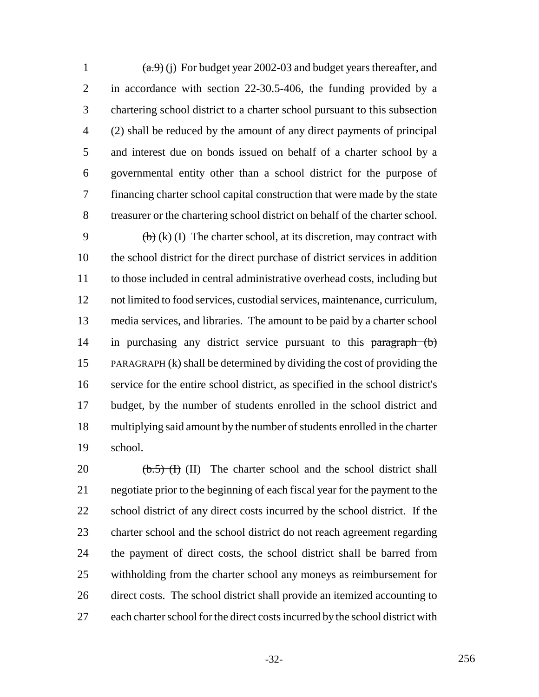$(a.9)$  (j) For budget year 2002-03 and budget years thereafter, and in accordance with section 22-30.5-406, the funding provided by a chartering school district to a charter school pursuant to this subsection (2) shall be reduced by the amount of any direct payments of principal and interest due on bonds issued on behalf of a charter school by a governmental entity other than a school district for the purpose of financing charter school capital construction that were made by the state treasurer or the chartering school district on behalf of the charter school.

9 (b) (k) (I) The charter school, at its discretion, may contract with the school district for the direct purchase of district services in addition to those included in central administrative overhead costs, including but not limited to food services, custodial services, maintenance, curriculum, media services, and libraries. The amount to be paid by a charter school 14 in purchasing any district service pursuant to this paragraph (b) PARAGRAPH (k) shall be determined by dividing the cost of providing the service for the entire school district, as specified in the school district's budget, by the number of students enrolled in the school district and multiplying said amount by the number of students enrolled in the charter school.

 $\left(\frac{b.5}{11}\right)$  (II) The charter school and the school district shall negotiate prior to the beginning of each fiscal year for the payment to the school district of any direct costs incurred by the school district. If the charter school and the school district do not reach agreement regarding the payment of direct costs, the school district shall be barred from withholding from the charter school any moneys as reimbursement for direct costs. The school district shall provide an itemized accounting to each charter school for the direct costs incurred by the school district with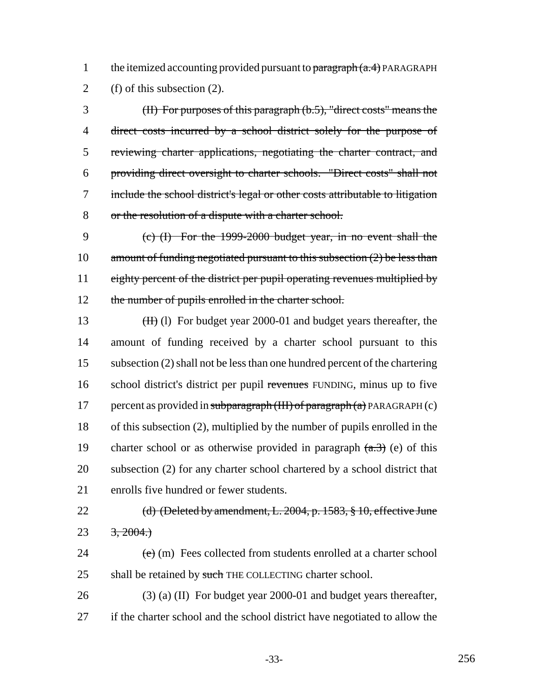1 the itemized accounting provided pursuant to  $\frac{\partial^2 f}{\partial x^2}$  PARAGRAPH 2 (f) of this subsection (2).

 (II) For purposes of this paragraph (b.5), "direct costs" means the direct costs incurred by a school district solely for the purpose of reviewing charter applications, negotiating the charter contract, and providing direct oversight to charter schools. "Direct costs" shall not include the school district's legal or other costs attributable to litigation or the resolution of a dispute with a charter school.

9 (c) (I) For the 1999-2000 budget year, in no event shall the 10 amount of funding negotiated pursuant to this subsection (2) be less than 11 eighty percent of the district per pupil operating revenues multiplied by 12 the number of pupils enrolled in the charter school.

13 (II) For budget year 2000-01 and budget years thereafter, the 14 amount of funding received by a charter school pursuant to this 15 subsection (2) shall not be less than one hundred percent of the chartering 16 school district's district per pupil revenues FUNDING, minus up to five 17 percent as provided in subparagraph  $(HH)$  of paragraph  $(a)$  PARAGRAPH  $(c)$ 18 of this subsection (2), multiplied by the number of pupils enrolled in the 19 charter school or as otherwise provided in paragraph  $(a,3)$  (e) of this 20 subsection (2) for any charter school chartered by a school district that 21 enrolls five hundred or fewer students.

22 (d) (Deleted by amendment, L. 2004, p. 1583, § 10, effective June 23  $3, 2004.$ 

24  $(e)$  (m) Fees collected from students enrolled at a charter school 25 shall be retained by such THE COLLECTING charter school.

26 (3) (a) (II) For budget year 2000-01 and budget years thereafter, 27 if the charter school and the school district have negotiated to allow the

-33- 256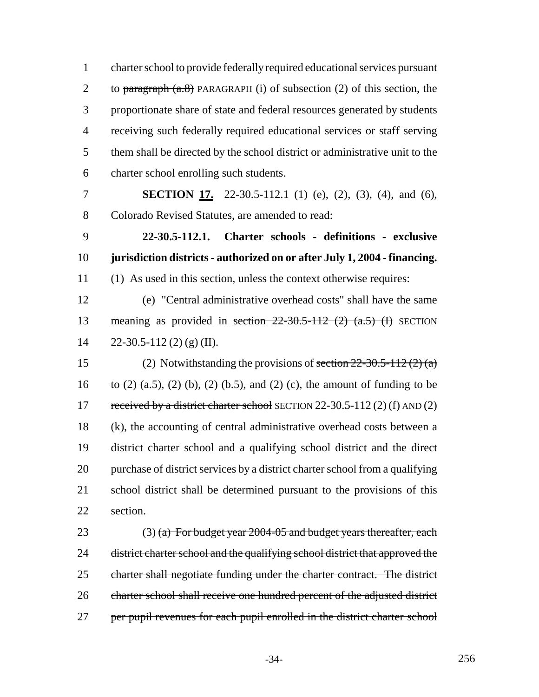charter school to provide federally required educational services pursuant 2 to paragraph  $(a.8)$  PARAGRAPH (i) of subsection (2) of this section, the proportionate share of state and federal resources generated by students receiving such federally required educational services or staff serving them shall be directed by the school district or administrative unit to the charter school enrolling such students.

 **SECTION 17.** 22-30.5-112.1 (1) (e), (2), (3), (4), and (6), Colorado Revised Statutes, are amended to read:

 **22-30.5-112.1. Charter schools - definitions - exclusive jurisdiction districts - authorized on or after July 1, 2004 - financing.** (1) As used in this section, unless the context otherwise requires:

 (e) "Central administrative overhead costs" shall have the same 13 meaning as provided in section  $22-30.5-112$  (2)  $(a.5)$  (I) SECTION 14  $22-30.5-112(2)(g)(II).$ 

15 (2) Notwithstanding the provisions of section  $22-30.5-112(2)$  (a) 16 to (2) (a.5), (2) (b), (2) (b.5), and (2) (c), the amount of funding to be 17 received by a district charter school SECTION 22-30.5-112 (2) (f) AND (2) (k), the accounting of central administrative overhead costs between a district charter school and a qualifying school district and the direct purchase of district services by a district charter school from a qualifying school district shall be determined pursuant to the provisions of this section.

23 (3) (a) For budget year  $2004-05$  and budget years thereafter, each 24 district charter school and the qualifying school district that approved the charter shall negotiate funding under the charter contract. The district charter school shall receive one hundred percent of the adjusted district 27 per pupil revenues for each pupil enrolled in the district charter school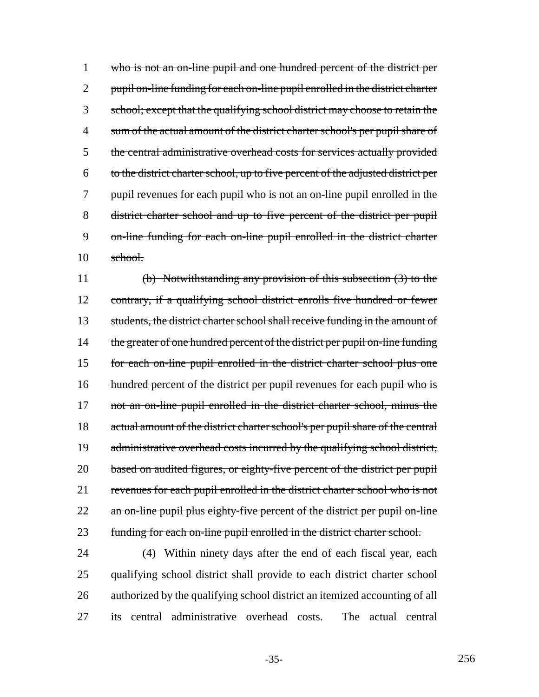1 who is not an on-line pupil and one hundred percent of the district per 2 pupil on-line funding for each on-line pupil enrolled in the district charter 3 school; except that the qualifying school district may choose to retain the 4 sum of the actual amount of the district charter school's per pupil share of 5 the central administrative overhead costs for services actually provided 6 to the district charter school, up to five percent of the adjusted district per 7 pupil revenues for each pupil who is not an on-line pupil enrolled in the 8 district charter school and up to five percent of the district per pupil 9 on-line funding for each on-line pupil enrolled in the district charter 10 school.

11 (b) Notwithstanding any provision of this subsection (3) to the 12 contrary, if a qualifying school district enrolls five hundred or fewer 13 students, the district charter school shall receive funding in the amount of 14 the greater of one hundred percent of the district per pupil on-line funding 15 for each on-line pupil enrolled in the district charter school plus one 16 hundred percent of the district per pupil revenues for each pupil who is 17 not an on-line pupil enrolled in the district charter school, minus the 18 actual amount of the district charter school's per pupil share of the central 19 administrative overhead costs incurred by the qualifying school district, 20 based on audited figures, or eighty-five percent of the district per pupil 21 revenues for each pupil enrolled in the district charter school who is not 22 an on-line pupil plus eighty-five percent of the district per pupil on-line 23 funding for each on-line pupil enrolled in the district charter school.

 (4) Within ninety days after the end of each fiscal year, each qualifying school district shall provide to each district charter school authorized by the qualifying school district an itemized accounting of all its central administrative overhead costs. The actual central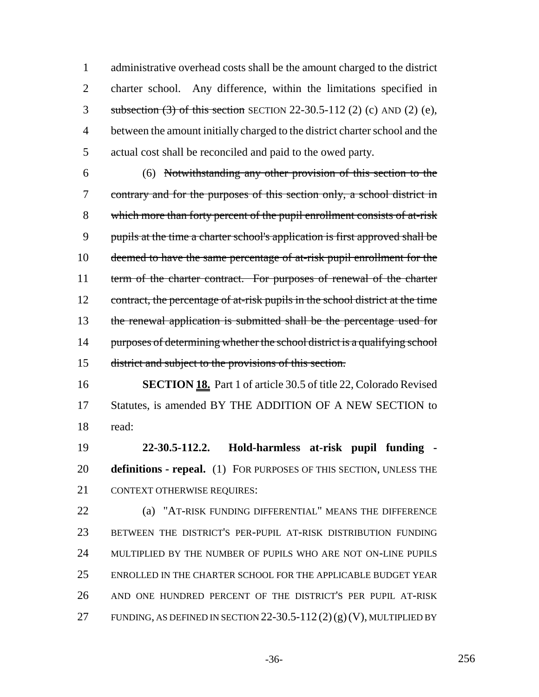administrative overhead costs shall be the amount charged to the district charter school. Any difference, within the limitations specified in subsection (3) of this section SECTION 22-30.5-112 (2) (c) AND (2) (e), between the amount initially charged to the district charter school and the actual cost shall be reconciled and paid to the owed party.

 (6) Notwithstanding any other provision of this section to the contrary and for the purposes of this section only, a school district in which more than forty percent of the pupil enrollment consists of at-risk pupils at the time a charter school's application is first approved shall be 10 deemed to have the same percentage of at-risk pupil enrollment for the term of the charter contract. For purposes of renewal of the charter 12 contract, the percentage of at-risk pupils in the school district at the time the renewal application is submitted shall be the percentage used for 14 purposes of determining whether the school district is a qualifying school district and subject to the provisions of this section.

 **SECTION 18.** Part 1 of article 30.5 of title 22, Colorado Revised Statutes, is amended BY THE ADDITION OF A NEW SECTION to read:

 **22-30.5-112.2. Hold-harmless at-risk pupil funding - definitions - repeal.** (1) FOR PURPOSES OF THIS SECTION, UNLESS THE CONTEXT OTHERWISE REQUIRES:

 (a) "AT-RISK FUNDING DIFFERENTIAL" MEANS THE DIFFERENCE BETWEEN THE DISTRICT'S PER-PUPIL AT-RISK DISTRIBUTION FUNDING MULTIPLIED BY THE NUMBER OF PUPILS WHO ARE NOT ON-LINE PUPILS ENROLLED IN THE CHARTER SCHOOL FOR THE APPLICABLE BUDGET YEAR AND ONE HUNDRED PERCENT OF THE DISTRICT'S PER PUPIL AT-RISK 27 FUNDING, AS DEFINED IN SECTION 22-30.5-112  $(2)(g)(V)$ , MULTIPLIED BY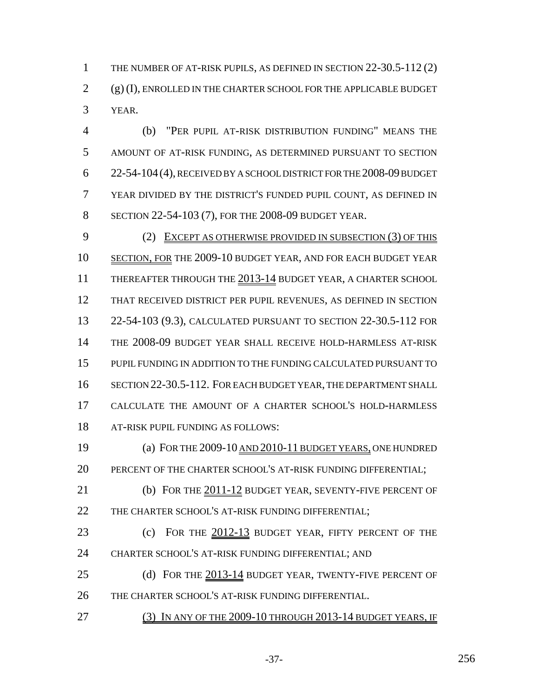THE NUMBER OF AT-RISK PUPILS, AS DEFINED IN SECTION 22-30.5-112 (2) (g) (I), ENROLLED IN THE CHARTER SCHOOL FOR THE APPLICABLE BUDGET YEAR.

 (b) "PER PUPIL AT-RISK DISTRIBUTION FUNDING" MEANS THE AMOUNT OF AT-RISK FUNDING, AS DETERMINED PURSUANT TO SECTION 22-54-104(4), RECEIVED BY A SCHOOL DISTRICT FOR THE 2008-09 BUDGET YEAR DIVIDED BY THE DISTRICT'S FUNDED PUPIL COUNT, AS DEFINED IN SECTION 22-54-103 (7), FOR THE 2008-09 BUDGET YEAR.

9 (2) EXCEPT AS OTHERWISE PROVIDED IN SUBSECTION (3) OF THIS SECTION, FOR THE 2009-10 BUDGET YEAR, AND FOR EACH BUDGET YEAR 11 THEREAFTER THROUGH THE 2013-14 BUDGET YEAR, A CHARTER SCHOOL THAT RECEIVED DISTRICT PER PUPIL REVENUES, AS DEFINED IN SECTION 22-54-103 (9.3), CALCULATED PURSUANT TO SECTION 22-30.5-112 FOR THE 2008-09 BUDGET YEAR SHALL RECEIVE HOLD-HARMLESS AT-RISK PUPIL FUNDING IN ADDITION TO THE FUNDING CALCULATED PURSUANT TO SECTION 22-30.5-112. FOR EACH BUDGET YEAR, THE DEPARTMENT SHALL CALCULATE THE AMOUNT OF A CHARTER SCHOOL'S HOLD-HARMLESS AT-RISK PUPIL FUNDING AS FOLLOWS:

19 (a) FOR THE 2009-10 AND 2010-11 BUDGET YEARS, ONE HUNDRED PERCENT OF THE CHARTER SCHOOL'S AT-RISK FUNDING DIFFERENTIAL;

 (b) FOR THE 2011-12 BUDGET YEAR, SEVENTY-FIVE PERCENT OF 22 THE CHARTER SCHOOL'S AT-RISK FUNDING DIFFERENTIAL;

23 (c) FOR THE  $2012-13$  BUDGET YEAR, FIFTY PERCENT OF THE CHARTER SCHOOL'S AT-RISK FUNDING DIFFERENTIAL; AND

25 (d) FOR THE 2013-14 BUDGET YEAR, TWENTY-FIVE PERCENT OF THE CHARTER SCHOOL'S AT-RISK FUNDING DIFFERENTIAL.

(3) IN ANY OF THE 2009-10 THROUGH 2013-14 BUDGET YEARS, IF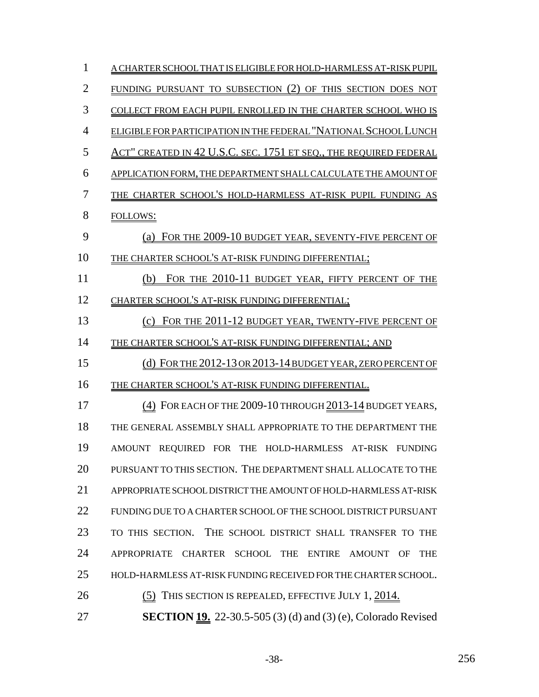| 1              | A CHARTER SCHOOL THAT IS ELIGIBLE FOR HOLD-HARMLESS AT-RISK PUPIL    |
|----------------|----------------------------------------------------------------------|
| $\overline{2}$ | FUNDING PURSUANT TO SUBSECTION (2) OF THIS SECTION DOES NOT          |
| 3              | COLLECT FROM EACH PUPIL ENROLLED IN THE CHARTER SCHOOL WHO IS        |
| $\overline{4}$ | ELIGIBLE FOR PARTICIPATION IN THE FEDERAL "NATIONAL SCHOOL LUNCH     |
| 5              | ACT" CREATED IN 42 U.S.C. SEC. 1751 ET SEQ., THE REQUIRED FEDERAL    |
| 6              | APPLICATION FORM, THE DEPARTMENT SHALL CALCULATE THE AMOUNT OF       |
| 7              | THE CHARTER SCHOOL'S HOLD-HARMLESS AT-RISK PUPIL FUNDING AS          |
| 8              | <b>FOLLOWS:</b>                                                      |
| 9              | FOR THE 2009-10 BUDGET YEAR, SEVENTY-FIVE PERCENT OF                 |
| 10             | THE CHARTER SCHOOL'S AT-RISK FUNDING DIFFERENTIAL;                   |
| 11             | FOR THE 2010-11 BUDGET YEAR, FIFTY PERCENT OF THE<br>(b)             |
| 12             | CHARTER SCHOOL'S AT-RISK FUNDING DIFFERENTIAL;                       |
| 13             | (c) FOR THE 2011-12 BUDGET YEAR, TWENTY-FIVE PERCENT OF              |
| 14             | THE CHARTER SCHOOL'S AT-RISK FUNDING DIFFERENTIAL; AND               |
| 15             | (d) FOR THE 2012-13 OR 2013-14 BUDGET YEAR, ZERO PERCENT OF          |
| 16             | THE CHARTER SCHOOL'S AT-RISK FUNDING DIFFERENTIAL.                   |
| 17             | (4) FOR EACH OF THE 2009-10 THROUGH 2013-14 BUDGET YEARS,            |
| 18             | THE GENERAL ASSEMBLY SHALL APPROPRIATE TO THE DEPARTMENT THE         |
| 19             | AMOUNT REQUIRED FOR THE HOLD-HARMLESS AT-RISK FUNDING                |
| 20             | PURSUANT TO THIS SECTION. THE DEPARTMENT SHALL ALLOCATE TO THE       |
| 21             | APPROPRIATE SCHOOL DISTRICT THE AMOUNT OF HOLD-HARMLESS AT-RISK      |
| 22             | FUNDING DUE TO A CHARTER SCHOOL OF THE SCHOOL DISTRICT PURSUANT      |
| 23             | TO THIS SECTION. THE SCHOOL DISTRICT SHALL TRANSFER TO THE           |
| 24             | APPROPRIATE CHARTER SCHOOL THE ENTIRE AMOUNT OF<br><b>THE</b>        |
| 25             | HOLD-HARMLESS AT-RISK FUNDING RECEIVED FOR THE CHARTER SCHOOL.       |
| 26             | (5) THIS SECTION IS REPEALED, EFFECTIVE JULY 1, 2014.                |
| 27             | <b>SECTION 19.</b> 22-30.5-505 (3) (d) and (3) (e), Colorado Revised |

-38- 256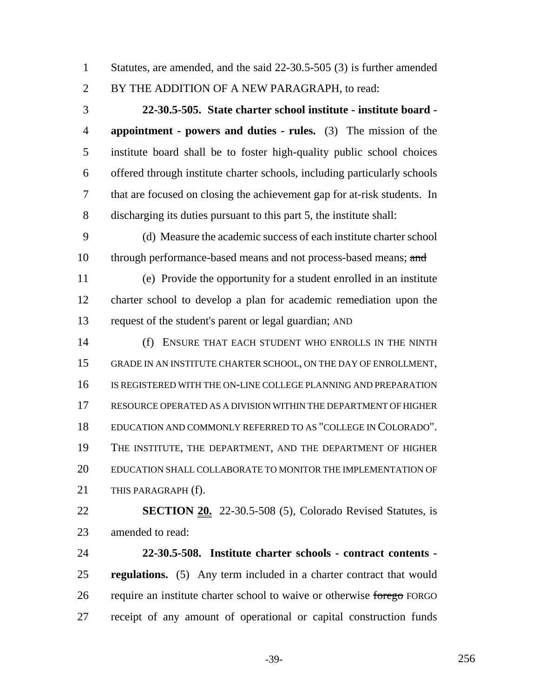Statutes, are amended, and the said 22-30.5-505 (3) is further amended BY THE ADDITION OF A NEW PARAGRAPH, to read:

 **22-30.5-505. State charter school institute - institute board - appointment - powers and duties - rules.** (3) The mission of the institute board shall be to foster high-quality public school choices offered through institute charter schools, including particularly schools that are focused on closing the achievement gap for at-risk students. In discharging its duties pursuant to this part 5, the institute shall:

 (d) Measure the academic success of each institute charter school 10 through performance-based means and not process-based means; and

 (e) Provide the opportunity for a student enrolled in an institute charter school to develop a plan for academic remediation upon the request of the student's parent or legal guardian; AND

 (f) ENSURE THAT EACH STUDENT WHO ENROLLS IN THE NINTH GRADE IN AN INSTITUTE CHARTER SCHOOL, ON THE DAY OF ENROLLMENT, IS REGISTERED WITH THE ON-LINE COLLEGE PLANNING AND PREPARATION RESOURCE OPERATED AS A DIVISION WITHIN THE DEPARTMENT OF HIGHER EDUCATION AND COMMONLY REFERRED TO AS "COLLEGE IN COLORADO". THE INSTITUTE, THE DEPARTMENT, AND THE DEPARTMENT OF HIGHER EDUCATION SHALL COLLABORATE TO MONITOR THE IMPLEMENTATION OF 21 THIS PARAGRAPH (f).

 **SECTION 20.** 22-30.5-508 (5), Colorado Revised Statutes, is amended to read:

 **22-30.5-508. Institute charter schools - contract contents - regulations.** (5) Any term included in a charter contract that would 26 require an institute charter school to waive or otherwise forego FORGO receipt of any amount of operational or capital construction funds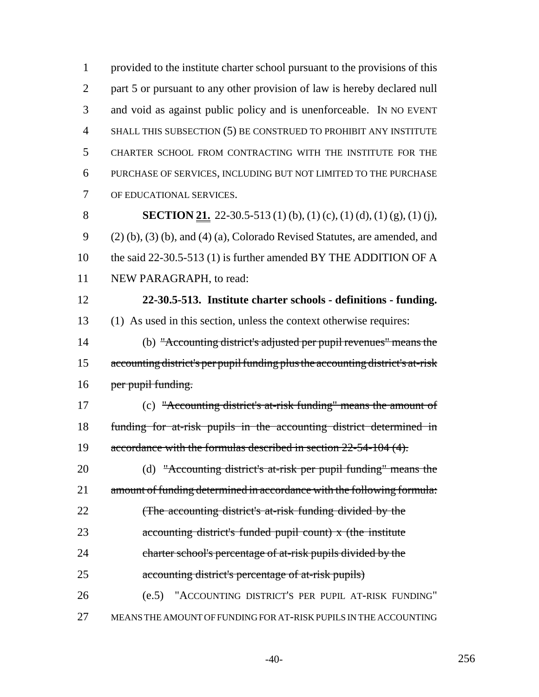provided to the institute charter school pursuant to the provisions of this 2 part 5 or pursuant to any other provision of law is hereby declared null and void as against public policy and is unenforceable. IN NO EVENT SHALL THIS SUBSECTION (5) BE CONSTRUED TO PROHIBIT ANY INSTITUTE CHARTER SCHOOL FROM CONTRACTING WITH THE INSTITUTE FOR THE PURCHASE OF SERVICES, INCLUDING BUT NOT LIMITED TO THE PURCHASE OF EDUCATIONAL SERVICES.

**SECTION 21.** 22-30.5-513 (1) (b), (1) (c), (1) (d), (1) (g), (1) (j), (2) (b), (3) (b), and (4) (a), Colorado Revised Statutes, are amended, and 10 the said 22-30.5-513 (1) is further amended BY THE ADDITION OF A NEW PARAGRAPH, to read:

 **22-30.5-513. Institute charter schools - definitions - funding.** (1) As used in this section, unless the context otherwise requires:

 (b) "Accounting district's adjusted per pupil revenues" means the accounting district's per pupil funding plus the accounting district's at-risk 16 per pupil funding.

 (c) "Accounting district's at-risk funding" means the amount of funding for at-risk pupils in the accounting district determined in 19 accordance with the formulas described in section 22-54-104 (4).

20 (d) "Accounting district's at-risk per pupil funding" means the 21 amount of funding determined in accordance with the following formula: **(The accounting district's at-risk funding divided by the**  accounting district's funded pupil count) x (the institute charter school's percentage of at-risk pupils divided by the accounting district's percentage of at-risk pupils) (e.5) "ACCOUNTING DISTRICT'S PER PUPIL AT-RISK FUNDING"

MEANS THE AMOUNT OF FUNDING FOR AT-RISK PUPILS IN THE ACCOUNTING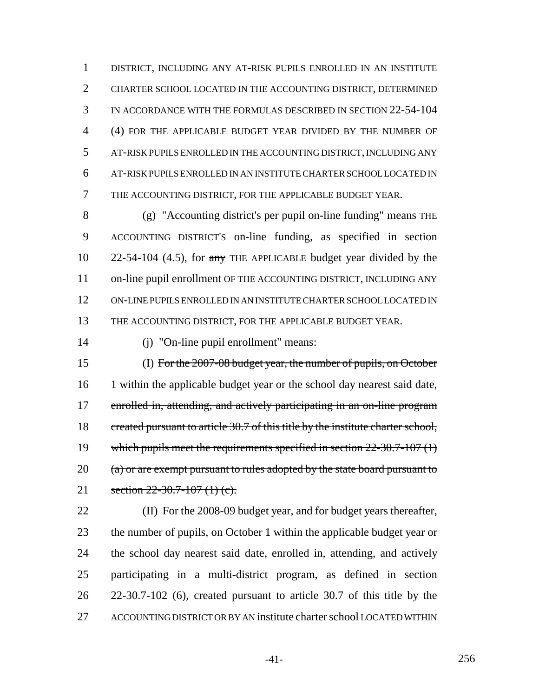DISTRICT, INCLUDING ANY AT-RISK PUPILS ENROLLED IN AN INSTITUTE CHARTER SCHOOL LOCATED IN THE ACCOUNTING DISTRICT, DETERMINED IN ACCORDANCE WITH THE FORMULAS DESCRIBED IN SECTION 22-54-104 (4) FOR THE APPLICABLE BUDGET YEAR DIVIDED BY THE NUMBER OF AT-RISK PUPILS ENROLLED IN THE ACCOUNTING DISTRICT, INCLUDING ANY AT-RISK PUPILS ENROLLED IN AN INSTITUTE CHARTER SCHOOL LOCATED IN THE ACCOUNTING DISTRICT, FOR THE APPLICABLE BUDGET YEAR.

 (g) "Accounting district's per pupil on-line funding" means THE ACCOUNTING DISTRICT'S on-line funding, as specified in section 10 22-54-104 (4.5), for any THE APPLICABLE budget year divided by the 11 on-line pupil enrollment OF THE ACCOUNTING DISTRICT, INCLUDING ANY ON-LINE PUPILS ENROLLED IN AN INSTITUTE CHARTER SCHOOL LOCATED IN THE ACCOUNTING DISTRICT, FOR THE APPLICABLE BUDGET YEAR.

(j) "On-line pupil enrollment" means:

 (I) For the 2007-08 budget year, the number of pupils, on October 16 1 within the applicable budget year or the school day nearest said date, 17 enrolled in, attending, and actively participating in an on-line program 18 created pursuant to article 30.7 of this title by the institute charter school, 19 which pupils meet the requirements specified in section 22-30.7-107 (1) 20 (a) or are exempt pursuant to rules adopted by the state board pursuant to 21 section 22-30.7-107 (1) (c).

 (II) For the 2008-09 budget year, and for budget years thereafter, the number of pupils, on October 1 within the applicable budget year or the school day nearest said date, enrolled in, attending, and actively participating in a multi-district program, as defined in section 22-30.7-102 (6), created pursuant to article 30.7 of this title by the ACCOUNTING DISTRICT OR BY AN institute charter school LOCATED WITHIN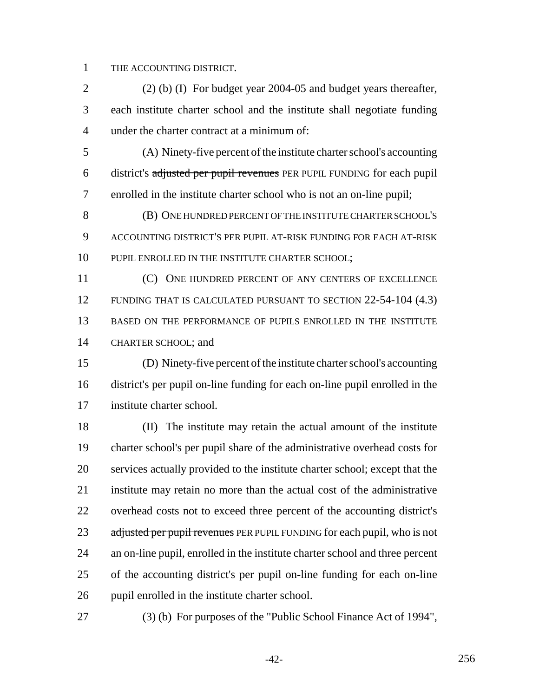THE ACCOUNTING DISTRICT.

 (2) (b) (I) For budget year 2004-05 and budget years thereafter, each institute charter school and the institute shall negotiate funding under the charter contract at a minimum of:

 (A) Ninety-five percent of the institute charter school's accounting district's adjusted per pupil revenues PER PUPIL FUNDING for each pupil enrolled in the institute charter school who is not an on-line pupil;

 (B) ONE HUNDRED PERCENT OF THE INSTITUTE CHARTER SCHOOL'S ACCOUNTING DISTRICT'S PER PUPIL AT-RISK FUNDING FOR EACH AT-RISK 10 PUPIL ENROLLED IN THE INSTITUTE CHARTER SCHOOL;

11 (C) ONE HUNDRED PERCENT OF ANY CENTERS OF EXCELLENCE FUNDING THAT IS CALCULATED PURSUANT TO SECTION 22-54-104 (4.3) BASED ON THE PERFORMANCE OF PUPILS ENROLLED IN THE INSTITUTE CHARTER SCHOOL; and

 (D) Ninety-five percent of the institute charter school's accounting district's per pupil on-line funding for each on-line pupil enrolled in the institute charter school.

 (II) The institute may retain the actual amount of the institute charter school's per pupil share of the administrative overhead costs for services actually provided to the institute charter school; except that the institute may retain no more than the actual cost of the administrative overhead costs not to exceed three percent of the accounting district's 23 adjusted per pupil revenues PER PUPIL FUNDING for each pupil, who is not an on-line pupil, enrolled in the institute charter school and three percent of the accounting district's per pupil on-line funding for each on-line pupil enrolled in the institute charter school.

(3) (b) For purposes of the "Public School Finance Act of 1994",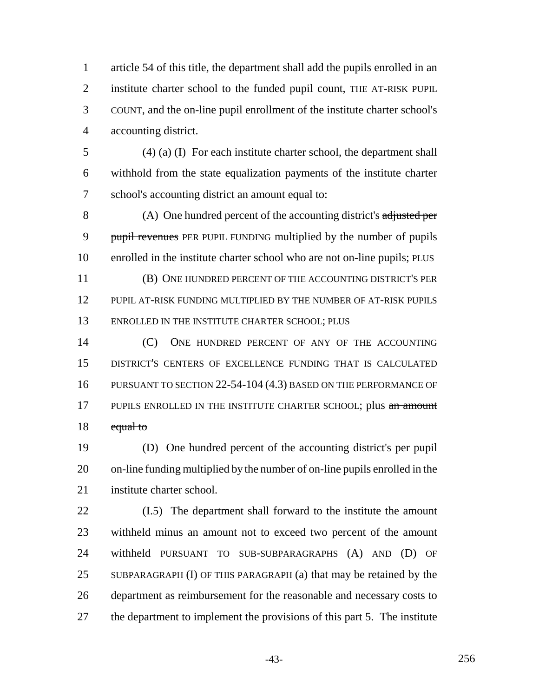article 54 of this title, the department shall add the pupils enrolled in an institute charter school to the funded pupil count, THE AT-RISK PUPIL COUNT, and the on-line pupil enrollment of the institute charter school's accounting district.

 (4) (a) (I) For each institute charter school, the department shall withhold from the state equalization payments of the institute charter school's accounting district an amount equal to:

 (A) One hundred percent of the accounting district's adjusted per 9 pupil revenues PER PUPIL FUNDING multiplied by the number of pupils enrolled in the institute charter school who are not on-line pupils; PLUS (B) ONE HUNDRED PERCENT OF THE ACCOUNTING DISTRICT'S PER

 PUPIL AT-RISK FUNDING MULTIPLIED BY THE NUMBER OF AT-RISK PUPILS 13 ENROLLED IN THE INSTITUTE CHARTER SCHOOL; PLUS

**(C)** ONE HUNDRED PERCENT OF ANY OF THE ACCOUNTING DISTRICT'S CENTERS OF EXCELLENCE FUNDING THAT IS CALCULATED PURSUANT TO SECTION 22-54-104 (4.3) BASED ON THE PERFORMANCE OF 17 PUPILS ENROLLED IN THE INSTITUTE CHARTER SCHOOL; plus an amount 18 equal to

 (D) One hundred percent of the accounting district's per pupil on-line funding multiplied by the number of on-line pupils enrolled in the institute charter school.

 (I.5) The department shall forward to the institute the amount withheld minus an amount not to exceed two percent of the amount withheld PURSUANT TO SUB-SUBPARAGRAPHS (A) AND (D) OF SUBPARAGRAPH (I) OF THIS PARAGRAPH (a) that may be retained by the department as reimbursement for the reasonable and necessary costs to the department to implement the provisions of this part 5. The institute

-43- 256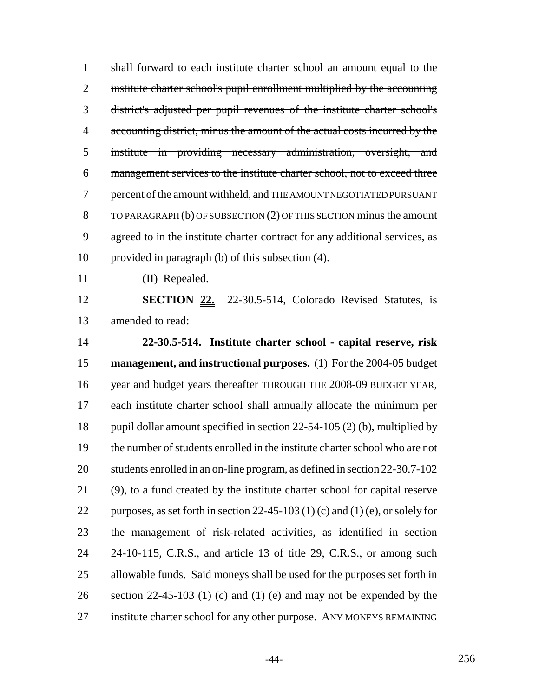1 shall forward to each institute charter school an amount equal to the 2 institute charter school's pupil enrollment multiplied by the accounting district's adjusted per pupil revenues of the institute charter school's 4 accounting district, minus the amount of the actual costs incurred by the institute in providing necessary administration, oversight, and management services to the institute charter school, not to exceed three 7 percent of the amount withheld, and THE AMOUNT NEGOTIATED PURSUANT TO PARAGRAPH (b) OF SUBSECTION (2) OF THIS SECTION minus the amount agreed to in the institute charter contract for any additional services, as provided in paragraph (b) of this subsection (4).

(II) Repealed.

 **SECTION 22.** 22-30.5-514, Colorado Revised Statutes, is amended to read:

 **22-30.5-514. Institute charter school - capital reserve, risk management, and instructional purposes.** (1) For the 2004-05 budget 16 year and budget years thereafter THROUGH THE 2008-09 BUDGET YEAR, each institute charter school shall annually allocate the minimum per pupil dollar amount specified in section 22-54-105 (2) (b), multiplied by the number of students enrolled in the institute charter school who are not students enrolled in an on-line program, as defined in section 22-30.7-102 (9), to a fund created by the institute charter school for capital reserve 22 purposes, as set forth in section 22-45-103 (1) (c) and (1) (e), or solely for the management of risk-related activities, as identified in section 24-10-115, C.R.S., and article 13 of title 29, C.R.S., or among such allowable funds. Said moneys shall be used for the purposes set forth in 26 section 22-45-103 (1) (c) and (1) (e) and may not be expended by the institute charter school for any other purpose. ANY MONEYS REMAINING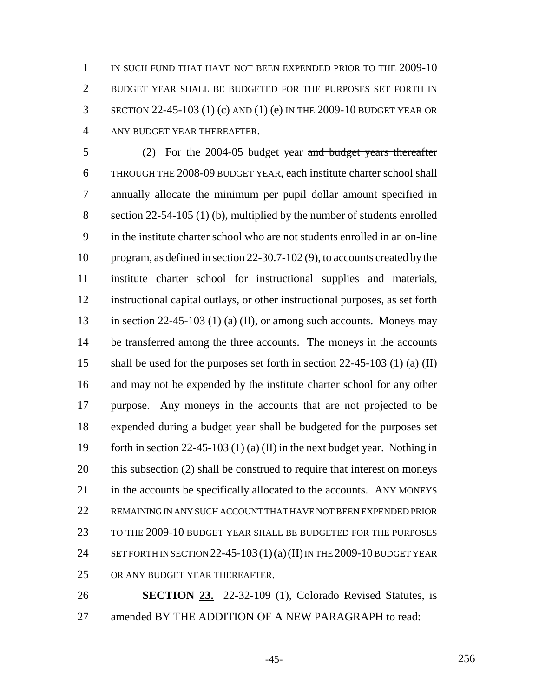IN SUCH FUND THAT HAVE NOT BEEN EXPENDED PRIOR TO THE 2009-10 BUDGET YEAR SHALL BE BUDGETED FOR THE PURPOSES SET FORTH IN SECTION 22-45-103 (1) (c) AND (1) (e) IN THE 2009-10 BUDGET YEAR OR ANY BUDGET YEAR THEREAFTER.

 (2) For the 2004-05 budget year and budget years thereafter THROUGH THE 2008-09 BUDGET YEAR, each institute charter school shall annually allocate the minimum per pupil dollar amount specified in section 22-54-105 (1) (b), multiplied by the number of students enrolled in the institute charter school who are not students enrolled in an on-line program, as defined in section 22-30.7-102 (9), to accounts created by the institute charter school for instructional supplies and materials, instructional capital outlays, or other instructional purposes, as set forth 13 in section 22-45-103 (1) (a) (II), or among such accounts. Moneys may 14 be transferred among the three accounts. The moneys in the accounts shall be used for the purposes set forth in section 22-45-103 (1) (a) (II) and may not be expended by the institute charter school for any other purpose. Any moneys in the accounts that are not projected to be expended during a budget year shall be budgeted for the purposes set forth in section 22-45-103 (1) (a) (II) in the next budget year. Nothing in this subsection (2) shall be construed to require that interest on moneys 21 in the accounts be specifically allocated to the accounts. ANY MONEYS REMAINING IN ANY SUCH ACCOUNT THAT HAVE NOT BEEN EXPENDED PRIOR TO THE 2009-10 BUDGET YEAR SHALL BE BUDGETED FOR THE PURPOSES 24 SET FORTH IN SECTION 22-45-103  $(1)(a)(II)$  IN THE 2009-10 BUDGET YEAR OR ANY BUDGET YEAR THEREAFTER.

 **SECTION 23.** 22-32-109 (1), Colorado Revised Statutes, is amended BY THE ADDITION OF A NEW PARAGRAPH to read:

-45- 256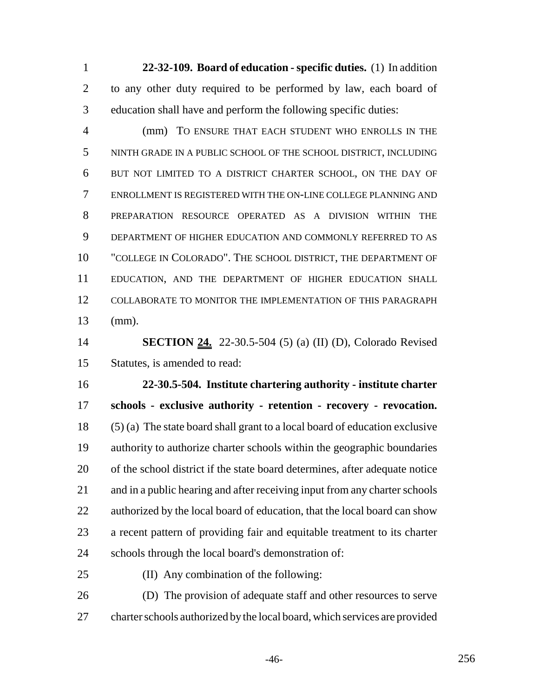**22-32-109. Board of education - specific duties.** (1) In addition to any other duty required to be performed by law, each board of education shall have and perform the following specific duties:

 (mm) TO ENSURE THAT EACH STUDENT WHO ENROLLS IN THE NINTH GRADE IN A PUBLIC SCHOOL OF THE SCHOOL DISTRICT, INCLUDING BUT NOT LIMITED TO A DISTRICT CHARTER SCHOOL, ON THE DAY OF ENROLLMENT IS REGISTERED WITH THE ON-LINE COLLEGE PLANNING AND PREPARATION RESOURCE OPERATED AS A DIVISION WITHIN THE DEPARTMENT OF HIGHER EDUCATION AND COMMONLY REFERRED TO AS "COLLEGE IN COLORADO". THE SCHOOL DISTRICT, THE DEPARTMENT OF EDUCATION, AND THE DEPARTMENT OF HIGHER EDUCATION SHALL COLLABORATE TO MONITOR THE IMPLEMENTATION OF THIS PARAGRAPH (mm).

 **SECTION 24.** 22-30.5-504 (5) (a) (II) (D), Colorado Revised Statutes, is amended to read:

 **22-30.5-504. Institute chartering authority - institute charter schools - exclusive authority - retention - recovery - revocation.** (5) (a) The state board shall grant to a local board of education exclusive authority to authorize charter schools within the geographic boundaries of the school district if the state board determines, after adequate notice and in a public hearing and after receiving input from any charter schools 22 authorized by the local board of education, that the local board can show a recent pattern of providing fair and equitable treatment to its charter schools through the local board's demonstration of:

(II) Any combination of the following:

 (D) The provision of adequate staff and other resources to serve charter schools authorized by the local board, which services are provided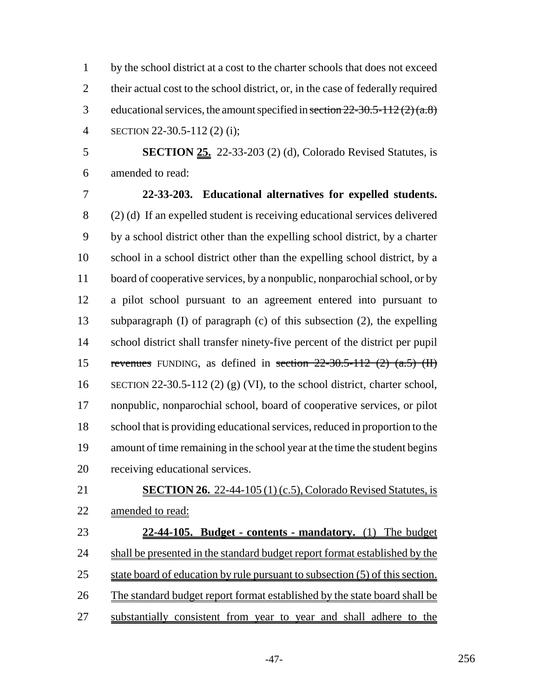by the school district at a cost to the charter schools that does not exceed 2 their actual cost to the school district, or, in the case of federally required 3 educational services, the amount specified in section  $22-30.5-112(2)(a.8)$ SECTION 22-30.5-112 (2) (i);

 **SECTION 25.** 22-33-203 (2) (d), Colorado Revised Statutes, is amended to read:

 **22-33-203. Educational alternatives for expelled students.** (2) (d) If an expelled student is receiving educational services delivered by a school district other than the expelling school district, by a charter school in a school district other than the expelling school district, by a board of cooperative services, by a nonpublic, nonparochial school, or by a pilot school pursuant to an agreement entered into pursuant to subparagraph (I) of paragraph (c) of this subsection (2), the expelling school district shall transfer ninety-five percent of the district per pupil 15 revenues FUNDING, as defined in section  $22-30.5-112$  (2) (a.5) (II) SECTION 22-30.5-112 (2) (g) (VI), to the school district, charter school, nonpublic, nonparochial school, board of cooperative services, or pilot school that is providing educational services, reduced in proportion to the amount of time remaining in the school year at the time the student begins receiving educational services.

# **SECTION 26.** 22-44-105 (1) (c.5), Colorado Revised Statutes, is amended to read:

 **22-44-105. Budget - contents - mandatory.** (1) The budget 24 shall be presented in the standard budget report format established by the 25 state board of education by rule pursuant to subsection (5) of this section. The standard budget report format established by the state board shall be substantially consistent from year to year and shall adhere to the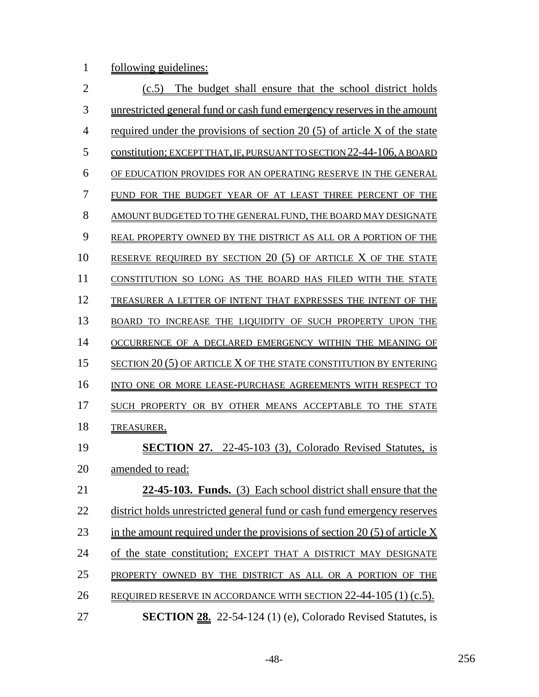1 <u>following guidelines:</u>

| $\overline{2}$ | The budget shall ensure that the school district holds<br>(c.5)              |
|----------------|------------------------------------------------------------------------------|
| 3              | unrestricted general fund or cash fund emergency reserves in the amount      |
| $\overline{4}$ | required under the provisions of section 20 $(5)$ of article X of the state  |
| 5              | constitution; EXCEPT THAT, IF, PURSUANT TO SECTION 22-44-106, A BOARD        |
| 6              | OF EDUCATION PROVIDES FOR AN OPERATING RESERVE IN THE GENERAL                |
| 7              | FUND FOR THE BUDGET YEAR OF AT LEAST THREE PERCENT OF THE                    |
| 8              | AMOUNT BUDGETED TO THE GENERAL FUND, THE BOARD MAY DESIGNATE                 |
| 9              | REAL PROPERTY OWNED BY THE DISTRICT AS ALL OR A PORTION OF THE               |
| 10             | RESERVE REQUIRED BY SECTION 20 (5) OF ARTICLE $X$ OF THE STATE               |
| 11             | CONSTITUTION SO LONG AS THE BOARD HAS FILED WITH THE STATE                   |
| 12             | TREASURER A LETTER OF INTENT THAT EXPRESSES THE INTENT OF THE                |
| 13             | BOARD TO INCREASE THE LIQUIDITY OF SUCH PROPERTY UPON THE                    |
| 14             | OCCURRENCE OF A DECLARED EMERGENCY WITHIN THE MEANING OF                     |
| 15             | SECTION 20 (5) OF ARTICLE $X$ OF THE STATE CONSTITUTION BY ENTERING          |
| 16             | INTO ONE OR MORE LEASE-PURCHASE AGREEMENTS WITH RESPECT TO                   |
| 17             | SUCH PROPERTY OR BY OTHER MEANS ACCEPTABLE TO THE STATE                      |
| 18             | TREASURER.                                                                   |
| 19             | <b>SECTION 27.</b> 22-45-103 (3), Colorado Revised Statutes, is              |
| 20             | amended to read:                                                             |
| 21             | 22-45-103. Funds. (3) Each school district shall ensure that the             |
| 22             | district holds unrestricted general fund or cash fund emergency reserves     |
| 23             | in the amount required under the provisions of section 20 $(5)$ of article X |
| 24             | of the state constitution; EXCEPT THAT A DISTRICT MAY DESIGNATE              |
| 25             | PROPERTY OWNED BY THE DISTRICT AS ALL OR A PORTION OF THE                    |
| 26             | REQUIRED RESERVE IN ACCORDANCE WITH SECTION 22-44-105 (1) (c.5).             |
| 27             | <b>SECTION 28.</b> 22-54-124 (1) (e), Colorado Revised Statutes, is          |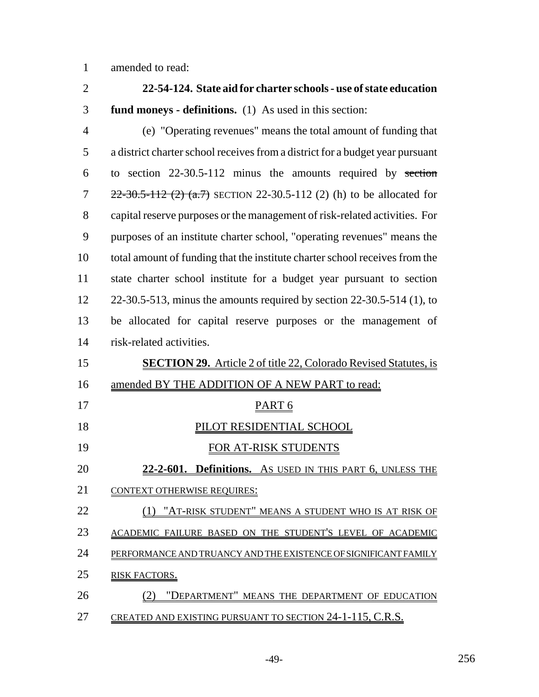amended to read:

| $\overline{2}$ | 22-54-124. State aid for charter schools - use of state education             |
|----------------|-------------------------------------------------------------------------------|
| 3              | fund moneys - definitions. (1) As used in this section:                       |
| $\overline{4}$ | (e) "Operating revenues" means the total amount of funding that               |
| 5              | a district charter school receives from a district for a budget year pursuant |
| 6              | to section $22-30.5-112$ minus the amounts required by section                |
| 7              | $22-30.5-112$ (2) (a.7) SECTION 22-30.5-112 (2) (h) to be allocated for       |
| 8              | capital reserve purposes or the management of risk-related activities. For    |
| 9              | purposes of an institute charter school, "operating revenues" means the       |
| 10             | total amount of funding that the institute charter school receives from the   |
| 11             | state charter school institute for a budget year pursuant to section          |
| 12             | 22-30.5-513, minus the amounts required by section $22-30.5-514$ (1), to      |
| 13             | be allocated for capital reserve purposes or the management of                |
| 14             | risk-related activities.                                                      |
| 15             | <b>SECTION 29.</b> Article 2 of title 22, Colorado Revised Statutes, is       |
| 16             | amended BY THE ADDITION OF A NEW PART to read:                                |
| 17             | PART <sub>6</sub>                                                             |
| 18             | <u>PILOT RESIDENTIAL SCHOOL</u>                                               |
| 19             | <u>FOR AT-RISK STUDENTS</u>                                                   |
| 20             | $22 - 2 - 601$ .<br>Definitions. As USED IN THIS PART 6, UNLESS THE           |
| 21             | <b>CONTEXT OTHERWISE REQUIRES:</b>                                            |
| 22             | (1) "AT-RISK STUDENT" MEANS A STUDENT WHO IS AT RISK OF                       |
| 23             | ACADEMIC FAILURE BASED ON THE STUDENT'S LEVEL OF ACADEMIC                     |
| 24             | PERFORMANCE AND TRUANCY AND THE EXISTENCE OF SIGNIFICANT FAMILY               |
| 25             | RISK FACTORS.                                                                 |
| 26             | (2) "DEPARTMENT" MEANS THE DEPARTMENT OF EDUCATION                            |
| 27             | CREATED AND EXISTING PURSUANT TO SECTION 24-1-115, C.R.S.                     |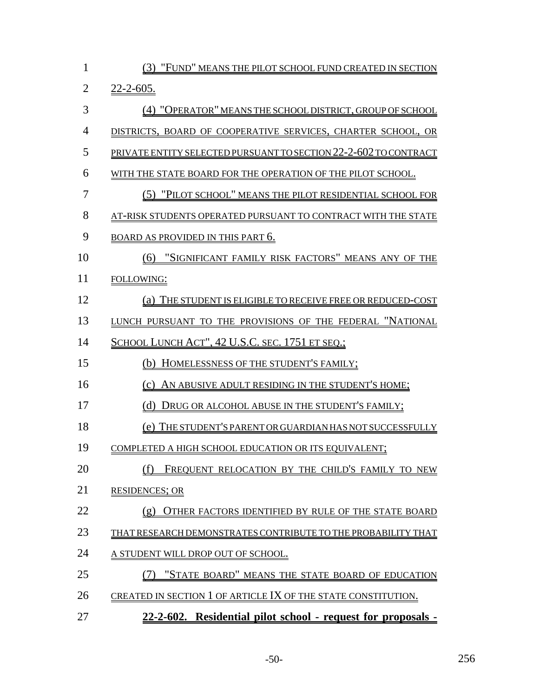| $\mathbf{1}$   | (3)<br><u>"FUND" MEANS THE PILOT SCHOOL FUND CREATED IN SECTION</u>     |
|----------------|-------------------------------------------------------------------------|
| $\overline{2}$ | $22 - 2 - 605$ .                                                        |
| 3              | (4) "OPERATOR" MEANS THE SCHOOL DISTRICT, GROUP OF SCHOOL               |
| $\overline{4}$ | DISTRICTS, BOARD OF COOPERATIVE SERVICES, CHARTER SCHOOL, OR            |
| 5              | <u>PRIVATE ENTITY SELECTED PURSUANT TO SECTION 22-2-602 TO CONTRACT</u> |
| 6              | WITH THE STATE BOARD FOR THE OPERATION OF THE PILOT SCHOOL.             |
| $\overline{7}$ | <u>(5) "PILOT SCHOOL" MEANS THE PILOT RESIDENTIAL SCHOOL FOR</u>        |
| 8              | AT-RISK STUDENTS OPERATED PURSUANT TO CONTRACT WITH THE STATE           |
| 9              | <b>BOARD AS PROVIDED IN THIS PART 6.</b>                                |
| 10             | "SIGNIFICANT FAMILY RISK FACTORS" MEANS ANY OF THE<br>(6)               |
| 11             | FOLLOWING:                                                              |
| 12             | <u>(a) THE STUDENT IS ELIGIBLE TO RECEIVE FREE OR REDUCED-COST</u>      |
| 13             | LUNCH PURSUANT TO THE PROVISIONS OF THE FEDERAL "NATIONAL               |
| 14             | <u>SCHOOL LUNCH ACT'', 42 U.S.C. sec. 1751 et seq.;</u>                 |
| 15             | HOMELESSNESS OF THE STUDENT'S FAMILY;<br>(b)                            |
| 16             | (c) AN ABUSIVE ADULT RESIDING IN THE STUDENT'S HOME;                    |
| 17             | <u>(d) Drug or alcohol abuse in the student's family;</u>               |
| 18             | <u>(e) THE STUDENT'S PARENT OR GUARDIAN HAS NOT SUCCESSFULLY</u>        |
| 19             | COMPLETED A HIGH SCHOOL EDUCATION OR ITS EQUIVALENT;                    |
| 20             | FREQUENT RELOCATION BY THE CHILD'S FAMILY TO NEW                        |
| 21             | <b>RESIDENCES; OR</b>                                                   |
| 22             | OTHER FACTORS IDENTIFIED BY RULE OF THE STATE BOARD                     |
| 23             | THAT RESEARCH DEMONSTRATES CONTRIBUTE TO THE PROBABILITY THAT           |
| 24             | A STUDENT WILL DROP OUT OF SCHOOL.                                      |
| 25             | "STATE BOARD" MEANS THE STATE BOARD OF EDUCATION                        |
| 26             | CREATED IN SECTION 1 OF ARTICLE IX OF THE STATE CONSTITUTION.           |
| 27             | 22-2-602. Residential pilot school - request for proposals -            |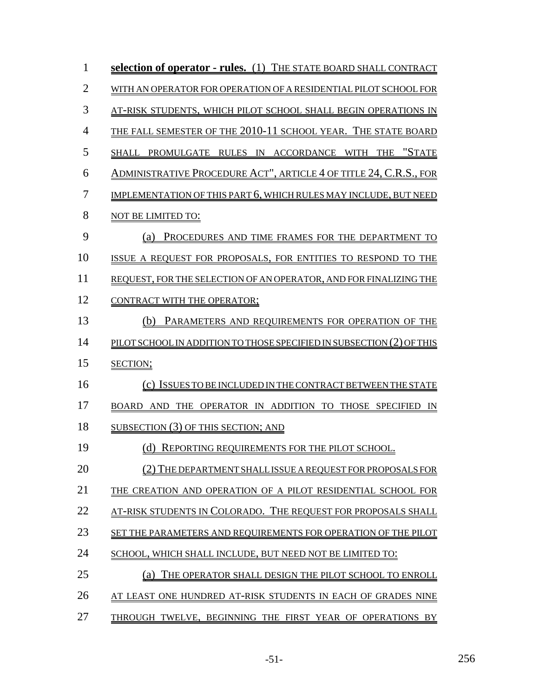| $\mathbf{1}$   | selection of operator - rules. (1) THE STATE BOARD SHALL CONTRACT     |
|----------------|-----------------------------------------------------------------------|
| $\overline{2}$ | WITH AN OPERATOR FOR OPERATION OF A RESIDENTIAL PILOT SCHOOL FOR      |
| 3              | AT-RISK STUDENTS, WHICH PILOT SCHOOL SHALL BEGIN OPERATIONS IN        |
| $\overline{4}$ | THE FALL SEMESTER OF THE 2010-11 SCHOOL YEAR. THE STATE BOARD         |
| 5              | SHALL PROMULGATE RULES IN ACCORDANCE WITH THE "STATE                  |
| 6              | ADMINISTRATIVE PROCEDURE ACT", ARTICLE 4 OF TITLE 24, C.R.S., FOR     |
| $\overline{7}$ | IMPLEMENTATION OF THIS PART 6, WHICH RULES MAY INCLUDE, BUT NEED      |
| 8              | NOT BE LIMITED TO:                                                    |
| 9              | PROCEDURES AND TIME FRAMES FOR THE DEPARTMENT TO<br>(a)               |
| 10             | ISSUE A REQUEST FOR PROPOSALS, FOR ENTITIES TO RESPOND TO THE         |
| 11             | REQUEST, FOR THE SELECTION OF AN OPERATOR, AND FOR FINALIZING THE     |
| 12             | CONTRACT WITH THE OPERATOR;                                           |
| 13             | (b) PARAMETERS AND REQUIREMENTS FOR OPERATION OF THE                  |
| 14             | PILOT SCHOOL IN ADDITION TO THOSE SPECIFIED IN SUBSECTION (2) OF THIS |
| 15             | SECTION;                                                              |
| 16             | (c) ISSUES TO BE INCLUDED IN THE CONTRACT BETWEEN THE STATE           |
| 17             | BOARD AND THE OPERATOR IN ADDITION TO THOSE SPECIFIED IN              |
| 18             | SUBSECTION (3) OF THIS SECTION; AND                                   |
| 19             | (d) REPORTING REQUIREMENTS FOR THE PILOT SCHOOL.                      |
| 20             | (2) THE DEPARTMENT SHALL ISSUE A REQUEST FOR PROPOSALS FOR            |
| 21             | THE CREATION AND OPERATION OF A PILOT RESIDENTIAL SCHOOL FOR          |
| 22             | AT-RISK STUDENTS IN COLORADO. THE REQUEST FOR PROPOSALS SHALL         |
| 23             | SET THE PARAMETERS AND REQUIREMENTS FOR OPERATION OF THE PILOT        |
| 24             | SCHOOL, WHICH SHALL INCLUDE, BUT NEED NOT BE LIMITED TO:              |
| 25             | THE OPERATOR SHALL DESIGN THE PILOT SCHOOL TO ENROLL<br>(a)           |
| 26             | AT LEAST ONE HUNDRED AT-RISK STUDENTS IN EACH OF GRADES NINE          |
| 27             | THROUGH TWELVE, BEGINNING THE FIRST YEAR OF OPERATIONS BY             |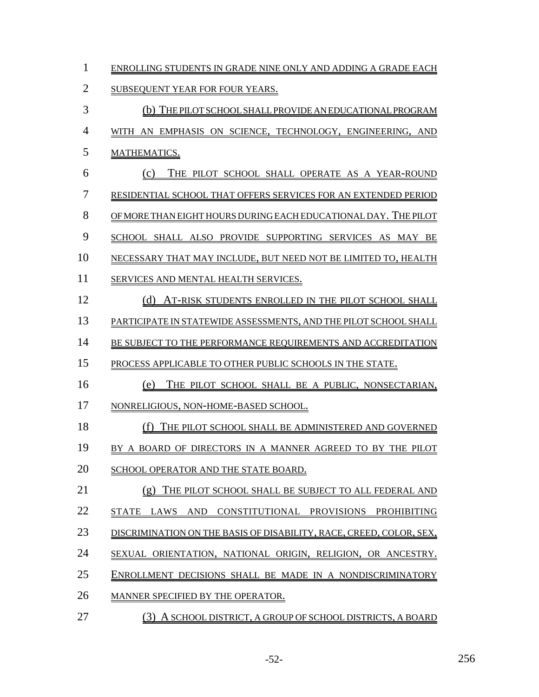- ENROLLING STUDENTS IN GRADE NINE ONLY AND ADDING A GRADE EACH
- SUBSEQUENT YEAR FOR FOUR YEARS.
- (b) THE PILOT SCHOOL SHALL PROVIDE AN EDUCATIONAL PROGRAM WITH AN EMPHASIS ON SCIENCE, TECHNOLOGY, ENGINEERING, AND MATHEMATICS. (c) THE PILOT SCHOOL SHALL OPERATE AS A YEAR-ROUND RESIDENTIAL SCHOOL THAT OFFERS SERVICES FOR AN EXTENDED PERIOD OF MORE THAN EIGHT HOURS DURING EACH EDUCATIONAL DAY. THE PILOT SCHOOL SHALL ALSO PROVIDE SUPPORTING SERVICES AS MAY BE NECESSARY THAT MAY INCLUDE, BUT NEED NOT BE LIMITED TO, HEALTH SERVICES AND MENTAL HEALTH SERVICES. 12 (d) AT-RISK STUDENTS ENROLLED IN THE PILOT SCHOOL SHALL PARTICIPATE IN STATEWIDE ASSESSMENTS, AND THE PILOT SCHOOL SHALL 14 BE SUBJECT TO THE PERFORMANCE REQUIREMENTS AND ACCREDITATION PROCESS APPLICABLE TO OTHER PUBLIC SCHOOLS IN THE STATE. (e) THE PILOT SCHOOL SHALL BE A PUBLIC, NONSECTARIAN, NONRELIGIOUS, NON-HOME-BASED SCHOOL. 18 (f) THE PILOT SCHOOL SHALL BE ADMINISTERED AND GOVERNED 19 BY A BOARD OF DIRECTORS IN A MANNER AGREED TO BY THE PILOT 20 SCHOOL OPERATOR AND THE STATE BOARD. (g) THE PILOT SCHOOL SHALL BE SUBJECT TO ALL FEDERAL AND STATE LAWS AND CONSTITUTIONAL PROVISIONS PROHIBITING 23 DISCRIMINATION ON THE BASIS OF DISABILITY, RACE, CREED, COLOR, SEX, SEXUAL ORIENTATION, NATIONAL ORIGIN, RELIGION, OR ANCESTRY. ENROLLMENT DECISIONS SHALL BE MADE IN A NONDISCRIMINATORY MANNER SPECIFIED BY THE OPERATOR.
- (3) A SCHOOL DISTRICT, A GROUP OF SCHOOL DISTRICTS, A BOARD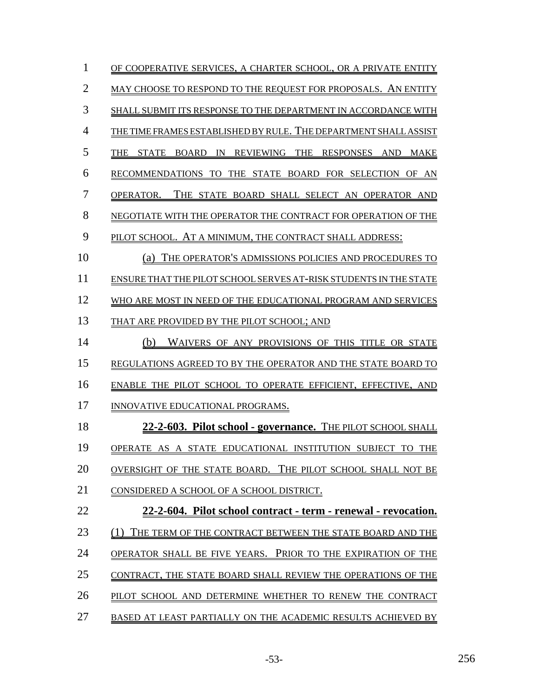| 1  | OF COOPERATIVE SERVICES. A CHARTER SCHOOL. OR A PRIVATE ENTITY    |
|----|-------------------------------------------------------------------|
| 2  | MAY CHOOSE TO RESPOND TO THE REQUEST FOR PROPOSALS. AN ENTITY     |
| 3  | SHALL SUBMIT ITS RESPONSE TO THE DEPARTMENT IN ACCORDANCE WITH    |
| 4  | THE TIME FRAMES ESTABLISHED BY RULE. THE DEPARTMENT SHALL ASSIST  |
| 5  | THE STATE<br>BOARD<br>IN REVIEWING THE RESPONSES AND MAKE         |
| 6  | RECOMMENDATIONS TO THE STATE BOARD FOR SELECTION OF AN            |
| 7  | THE STATE BOARD SHALL SELECT AN OPERATOR AND<br>OPERATOR.         |
| 8  | NEGOTIATE WITH THE OPERATOR THE CONTRACT FOR OPERATION OF THE     |
| 9  | PILOT SCHOOL. AT A MINIMUM, THE CONTRACT SHALL ADDRESS:           |
| 10 | THE OPERATOR'S ADMISSIONS POLICIES AND PROCEDURES TO<br>(a)       |
| 11 | ENSURE THAT THE PILOT SCHOOL SERVES AT-RISK STUDENTS IN THE STATE |
| 12 | WHO ARE MOST IN NEED OF THE EDUCATIONAL PROGRAM AND SERVICES      |
| 13 | THAT ARE PROVIDED BY THE PILOT SCHOOL; AND                        |
| 14 | WAIVERS OF ANY PROVISIONS OF THIS TITLE OR STATE<br>(b)           |
| 15 | REGULATIONS AGREED TO BY THE OPERATOR AND THE STATE BOARD TO      |
| 16 | ENABLE THE PILOT SCHOOL TO OPERATE EFFICIENT, EFFECTIVE, AND      |
| 17 | INNOVATIVE EDUCATIONAL PROGRAMS.                                  |
| 18 | 22-2-603. Pilot school - governance. THE PILOT SCHOOL SHALL       |
| 19 | OPERATE AS A STATE EDUCATIONAL INSTITUTION SUBJECT TO THE         |
| 20 | OVERSIGHT OF THE STATE BOARD. THE PILOT SCHOOL SHALL NOT BE       |
| 21 | CONSIDERED A SCHOOL OF A SCHOOL DISTRICT.                         |
| 22 | 22-2-604. Pilot school contract - term - renewal - revocation.    |
| 23 | THE TERM OF THE CONTRACT BETWEEN THE STATE BOARD AND THE          |
| 24 | PRIOR TO THE EXPIRATION OF THE<br>OPERATOR SHALL BE FIVE YEARS.   |
| 25 | CONTRACT. THE STATE BOARD SHALL REVIEW THE OPERATIONS OF THE      |
| 26 | PILOT SCHOOL AND DETERMINE WHETHER TO RENEW THE CONTRACT          |
| 27 | BASED AT LEAST PARTIALLY ON THE ACADEMIC RESULTS ACHIEVED BY      |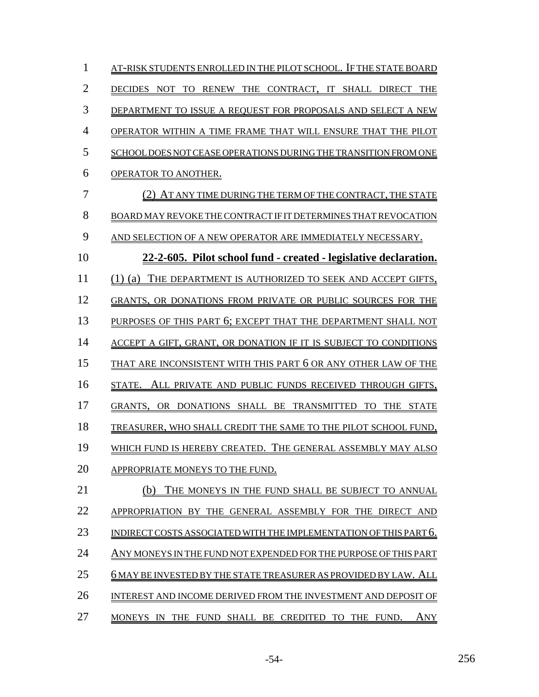| 1              | AT-RISK STUDENTS ENROLLED IN THE PILOT SCHOOL.   IF THE STATE BOARD       |
|----------------|---------------------------------------------------------------------------|
| $\overline{2}$ | THE CONTRACT, IT SHALL DIRECT<br>RENEW<br>DECIDES NOT<br>TО<br><b>THE</b> |
| 3              | DEPARTMENT TO ISSUE A REQUEST FOR PROPOSALS AND SELECT A NEW              |
| 4              | OPERATOR WITHIN A TIME FRAME THAT WILL ENSURE THAT THE PILOT              |
| 5              | SCHOOL DOES NOT CEASE OPERATIONS DURING THE TRANSITION FROM ONE           |
| 6              | OPERATOR TO ANOTHER.                                                      |
| 7              | (2) AT ANY TIME DURING THE TERM OF THE CONTRACT, THE STATE                |
| 8              | BOARD MAY REVOKE THE CONTRACT IF IT DETERMINES THAT REVOCATION            |
| 9              | AND SELECTION OF A NEW OPERATOR ARE IMMEDIATELY NECESSARY.                |
| 10             | 22-2-605. Pilot school fund - created - legislative declaration.          |
| 11             | $(1)$ (a)<br>THE DEPARTMENT IS AUTHORIZED TO SEEK AND ACCEPT GIFTS,       |
| 12             | GRANTS, OR DONATIONS FROM PRIVATE OR PUBLIC SOURCES FOR THE               |
| 13             | PURPOSES OF THIS PART 6; EXCEPT THAT THE DEPARTMENT SHALL NOT             |
| 14             | ACCEPT A GIFT, GRANT, OR DONATION IF IT IS SUBJECT TO CONDITIONS          |
| 15             | THAT ARE INCONSISTENT WITH THIS PART 6 OR ANY OTHER LAW OF THE            |
| 16             | ALL PRIVATE AND PUBLIC FUNDS RECEIVED THROUGH GIFTS,<br>STATE.            |
| 17             | OR DONATIONS SHALL BE TRANSMITTED TO THE STATE<br>GRANTS.                 |
| 18             | TREASURER, WHO SHALL CREDIT THE SAME TO THE PILOT SCHOOL FUND,            |
| 19             | WHICH FUND IS HEREBY CREATED. THE GENERAL ASSEMBLY MAY ALSO               |
| 20             | APPROPRIATE MONEYS TO THE FUND.                                           |
| 21             | (b)<br>THE MONEYS IN THE FUND SHALL BE SUBJECT TO ANNUAL                  |
| 22             | APPROPRIATION BY THE GENERAL ASSEMBLY FOR THE DIRECT AND                  |
| 23             | INDIRECT COSTS ASSOCIATED WITH THE IMPLEMENTATION OF THIS PART 6.         |
| 24             | ANY MONEYS IN THE FUND NOT EXPENDED FOR THE PURPOSE OF THIS PART          |
| 25             | 6 MAY BE INVESTED BY THE STATE TREASURER AS PROVIDED BY LAW. ALL          |
| 26             | INTEREST AND INCOME DERIVED FROM THE INVESTMENT AND DEPOSIT OF            |
| 27             | MONEYS IN THE FUND SHALL BE CREDITED TO THE FUND.<br>ANY                  |

-54- 256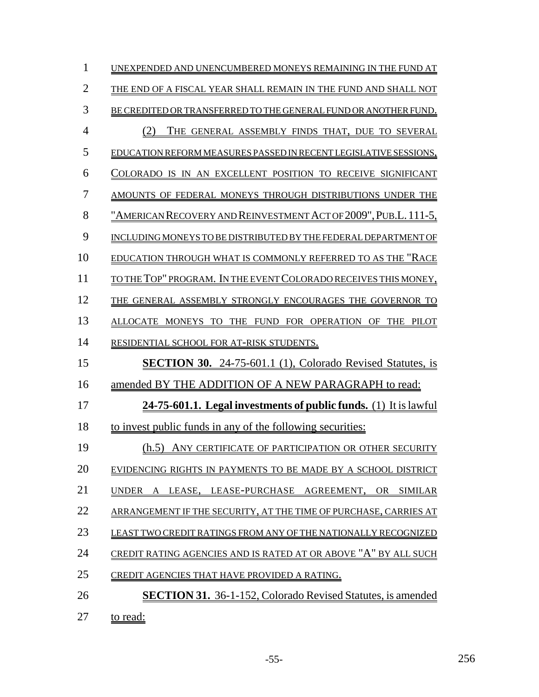| 1              | UNEXPENDED AND UNENCUMBERED MONEYS REMAINING IN THE FUND AT        |
|----------------|--------------------------------------------------------------------|
| $\overline{2}$ | THE END OF A FISCAL YEAR SHALL REMAIN IN THE FUND AND SHALL NOT    |
| 3              | BE CREDITED OR TRANSFERRED TO THE GENERAL FUND OR ANOTHER FUND.    |
| 4              | THE GENERAL ASSEMBLY FINDS THAT, DUE TO SEVERAL<br>(2)             |
| 5              | EDUCATION REFORM MEASURES PASSED IN RECENT LEGISLATIVE SESSIONS,   |
| 6              | COLORADO IS IN AN EXCELLENT POSITION TO RECEIVE SIGNIFICANT        |
| 7              | AMOUNTS OF FEDERAL MONEYS THROUGH DISTRIBUTIONS UNDER THE          |
| 8              | "AMERICAN RECOVERY AND REINVESTMENT ACT OF 2009", PUB.L. 111-5,    |
| 9              | INCLUDING MONEYS TO BE DISTRIBUTED BY THE FEDERAL DEPARTMENT OF    |
| 10             | EDUCATION THROUGH WHAT IS COMMONLY REFERRED TO AS THE "RACE        |
| 11             | TO THE TOP" PROGRAM. IN THE EVENT COLORADO RECEIVES THIS MONEY,    |
| 12             | THE GENERAL ASSEMBLY STRONGLY ENCOURAGES THE GOVERNOR TO           |
| 13             | ALLOCATE MONEYS TO THE FUND FOR OPERATION OF THE PILOT             |
| 14             | RESIDENTIAL SCHOOL FOR AT-RISK STUDENTS.                           |
| 15             | <b>SECTION 30.</b> 24-75-601.1 (1), Colorado Revised Statutes, is  |
| 16             | amended BY THE ADDITION OF A NEW PARAGRAPH to read:                |
| 17             | 24-75-601.1. Legal investments of public funds. (1) It is lawful   |
| 18             | to invest public funds in any of the following securities:         |
| 19             | (h.5) ANY CERTIFICATE OF PARTICIPATION OR OTHER SECURITY           |
| 20             | EVIDENCING RIGHTS IN PAYMENTS TO BE MADE BY A SCHOOL DISTRICT      |
| 21             | LEASE, LEASE-PURCHASE AGREEMENT, OR SIMILAR<br>UNDER               |
| 22             | ARRANGEMENT IF THE SECURITY, AT THE TIME OF PURCHASE, CARRIES AT   |
| 23             | LEAST TWO CREDIT RATINGS FROM ANY OF THE NATIONALLY RECOGNIZED     |
| 24             | CREDIT RATING AGENCIES AND IS RATED AT OR ABOVE "A" BY ALL SUCH    |
| 25             | CREDIT AGENCIES THAT HAVE PROVIDED A RATING.                       |
| 26             | <b>SECTION 31.</b> 36-1-152, Colorado Revised Statutes, is amended |
|                |                                                                    |

 $27 \quad \underline{\text{to read:}}$